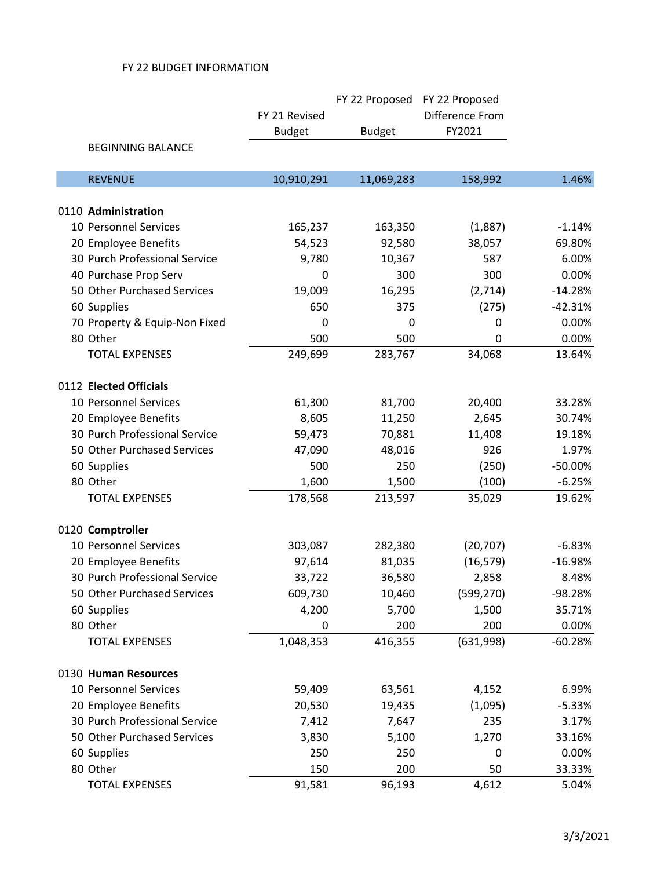|                               |               | FY 22 Proposed | FY 22 Proposed  |           |
|-------------------------------|---------------|----------------|-----------------|-----------|
|                               | FY 21 Revised |                | Difference From |           |
|                               | <b>Budget</b> | <b>Budget</b>  | FY2021          |           |
| <b>BEGINNING BALANCE</b>      |               |                |                 |           |
| <b>REVENUE</b>                | 10,910,291    | 11,069,283     | 158,992         | 1.46%     |
| 0110 Administration           |               |                |                 |           |
| 10 Personnel Services         | 165,237       | 163,350        | (1,887)         | $-1.14%$  |
| 20 Employee Benefits          | 54,523        | 92,580         | 38,057          | 69.80%    |
| 30 Purch Professional Service | 9,780         | 10,367         | 587             | 6.00%     |
| 40 Purchase Prop Serv         | 0             | 300            | 300             | 0.00%     |
| 50 Other Purchased Services   | 19,009        | 16,295         | (2,714)         | $-14.28%$ |
| 60 Supplies                   | 650           | 375            | (275)           | $-42.31%$ |
| 70 Property & Equip-Non Fixed | 0             | 0              | $\mathbf 0$     | 0.00%     |
| 80 Other                      | 500           | 500            | 0               | 0.00%     |
| <b>TOTAL EXPENSES</b>         | 249,699       | 283,767        | 34,068          | 13.64%    |
| 0112 Elected Officials        |               |                |                 |           |
| 10 Personnel Services         | 61,300        | 81,700         | 20,400          | 33.28%    |
| 20 Employee Benefits          | 8,605         | 11,250         | 2,645           | 30.74%    |
| 30 Purch Professional Service | 59,473        | 70,881         | 11,408          | 19.18%    |
| 50 Other Purchased Services   | 47,090        | 48,016         | 926             | 1.97%     |
| 60 Supplies                   | 500           | 250            | (250)           | $-50.00%$ |
| 80 Other                      | 1,600         | 1,500          | (100)           | $-6.25%$  |
| <b>TOTAL EXPENSES</b>         | 178,568       | 213,597        | 35,029          | 19.62%    |
| 0120 Comptroller              |               |                |                 |           |
| 10 Personnel Services         | 303,087       | 282,380        | (20, 707)       | $-6.83%$  |
| 20 Employee Benefits          | 97,614        | 81,035         | (16, 579)       | $-16.98%$ |
| 30 Purch Professional Service | 33,722        | 36,580         | 2,858           | 8.48%     |
| 50 Other Purchased Services   | 609,730       | 10,460         | (599, 270)      | -98.28%   |
| 60 Supplies                   | 4,200         | 5,700          | 1,500           | 35.71%    |
| 80 Other                      | 0             | 200            | 200             | 0.00%     |
| <b>TOTAL EXPENSES</b>         | 1,048,353     | 416,355        | (631,998)       | $-60.28%$ |
| 0130 Human Resources          |               |                |                 |           |
| 10 Personnel Services         | 59,409        | 63,561         | 4,152           | 6.99%     |
| 20 Employee Benefits          | 20,530        | 19,435         | (1,095)         | $-5.33%$  |
| 30 Purch Professional Service | 7,412         | 7,647          | 235             | 3.17%     |
| 50 Other Purchased Services   | 3,830         | 5,100          | 1,270           | 33.16%    |
| 60 Supplies                   | 250           | 250            | 0               | 0.00%     |
| 80 Other                      | 150           | 200            | 50              | 33.33%    |
| <b>TOTAL EXPENSES</b>         | 91,581        | 96,193         | 4,612           | 5.04%     |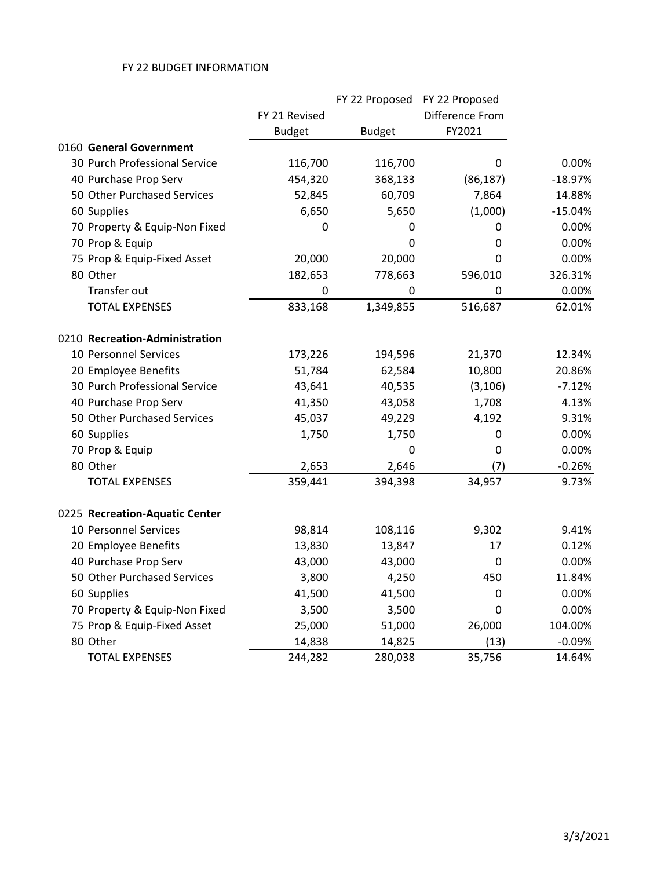|                                |               | FY 22 Proposed | FY 22 Proposed  |           |
|--------------------------------|---------------|----------------|-----------------|-----------|
|                                | FY 21 Revised |                | Difference From |           |
|                                | <b>Budget</b> | <b>Budget</b>  | FY2021          |           |
| 0160 General Government        |               |                |                 |           |
| 30 Purch Professional Service  | 116,700       | 116,700        | $\mathbf 0$     | 0.00%     |
| 40 Purchase Prop Serv          | 454,320       | 368,133        | (86, 187)       | $-18.97%$ |
| 50 Other Purchased Services    | 52,845        | 60,709         | 7,864           | 14.88%    |
| 60 Supplies                    | 6,650         | 5,650          | (1,000)         | $-15.04%$ |
| 70 Property & Equip-Non Fixed  | 0             | 0              | 0               | 0.00%     |
| 70 Prop & Equip                |               | 0              | 0               | 0.00%     |
| 75 Prop & Equip-Fixed Asset    | 20,000        | 20,000         | 0               | 0.00%     |
| 80 Other                       | 182,653       | 778,663        | 596,010         | 326.31%   |
| Transfer out                   | 0             | 0              | 0               | 0.00%     |
| <b>TOTAL EXPENSES</b>          | 833,168       | 1,349,855      | 516,687         | 62.01%    |
| 0210 Recreation-Administration |               |                |                 |           |
| 10 Personnel Services          | 173,226       | 194,596        | 21,370          | 12.34%    |
| 20 Employee Benefits           | 51,784        | 62,584         | 10,800          | 20.86%    |
| 30 Purch Professional Service  | 43,641        | 40,535         | (3, 106)        | $-7.12%$  |
| 40 Purchase Prop Serv          | 41,350        | 43,058         | 1,708           | 4.13%     |
| 50 Other Purchased Services    | 45,037        | 49,229         | 4,192           | 9.31%     |
| 60 Supplies                    | 1,750         | 1,750          | 0               | 0.00%     |
| 70 Prop & Equip                |               | $\mathbf 0$    | 0               | 0.00%     |
| 80 Other                       | 2,653         | 2,646          | (7)             | $-0.26%$  |
| <b>TOTAL EXPENSES</b>          | 359,441       | 394,398        | 34,957          | 9.73%     |
| 0225 Recreation-Aquatic Center |               |                |                 |           |
| 10 Personnel Services          | 98,814        | 108,116        | 9,302           | 9.41%     |
| 20 Employee Benefits           | 13,830        | 13,847         | 17              | 0.12%     |
| 40 Purchase Prop Serv          | 43,000        | 43,000         | 0               | 0.00%     |
| 50 Other Purchased Services    | 3,800         | 4,250          | 450             | 11.84%    |
| 60 Supplies                    | 41,500        | 41,500         | 0               | 0.00%     |
| 70 Property & Equip-Non Fixed  | 3,500         | 3,500          | $\mathbf 0$     | 0.00%     |
| 75 Prop & Equip-Fixed Asset    | 25,000        | 51,000         | 26,000          | 104.00%   |
| 80 Other                       | 14,838        | 14,825         | (13)            | $-0.09%$  |
| <b>TOTAL EXPENSES</b>          | 244,282       | 280,038        | 35,756          | 14.64%    |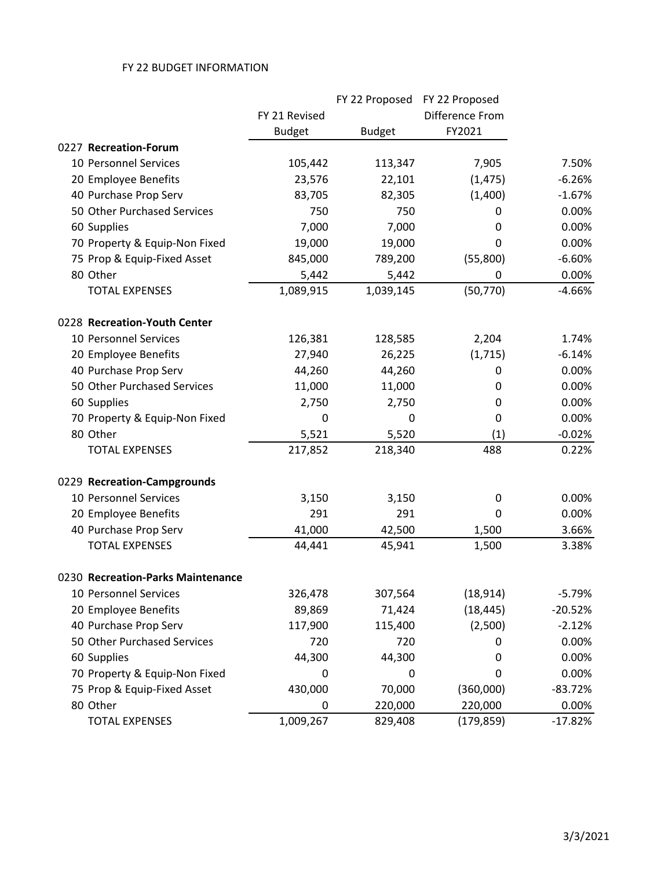|                                   |               | FY 22 Proposed | FY 22 Proposed  |           |
|-----------------------------------|---------------|----------------|-----------------|-----------|
|                                   | FY 21 Revised |                | Difference From |           |
|                                   | <b>Budget</b> | <b>Budget</b>  | FY2021          |           |
| 0227 Recreation-Forum             |               |                |                 |           |
| 10 Personnel Services             | 105,442       | 113,347        | 7,905           | 7.50%     |
| 20 Employee Benefits              | 23,576        | 22,101         | (1, 475)        | $-6.26%$  |
| 40 Purchase Prop Serv             | 83,705        | 82,305         | (1,400)         | $-1.67%$  |
| 50 Other Purchased Services       | 750           | 750            | 0               | 0.00%     |
| 60 Supplies                       | 7,000         | 7,000          | 0               | 0.00%     |
| 70 Property & Equip-Non Fixed     | 19,000        | 19,000         | 0               | 0.00%     |
| 75 Prop & Equip-Fixed Asset       | 845,000       | 789,200        | (55,800)        | $-6.60%$  |
| 80 Other                          | 5,442         | 5,442          | 0               | 0.00%     |
| <b>TOTAL EXPENSES</b>             | 1,089,915     | 1,039,145      | (50, 770)       | $-4.66%$  |
| 0228 Recreation-Youth Center      |               |                |                 |           |
| 10 Personnel Services             | 126,381       | 128,585        | 2,204           | 1.74%     |
| 20 Employee Benefits              | 27,940        | 26,225         | (1,715)         | $-6.14%$  |
| 40 Purchase Prop Serv             | 44,260        | 44,260         | 0               | 0.00%     |
| 50 Other Purchased Services       | 11,000        | 11,000         | 0               | 0.00%     |
| 60 Supplies                       | 2,750         | 2,750          | 0               | 0.00%     |
| 70 Property & Equip-Non Fixed     | 0             | 0              | 0               | 0.00%     |
| 80 Other                          | 5,521         | 5,520          | (1)             | $-0.02%$  |
| <b>TOTAL EXPENSES</b>             | 217,852       | 218,340        | 488             | 0.22%     |
| 0229 Recreation-Campgrounds       |               |                |                 |           |
| 10 Personnel Services             | 3,150         | 3,150          | 0               | 0.00%     |
| 20 Employee Benefits              | 291           | 291            | 0               | 0.00%     |
| 40 Purchase Prop Serv             | 41,000        | 42,500         | 1,500           | 3.66%     |
| <b>TOTAL EXPENSES</b>             | 44,441        | 45,941         | 1,500           | 3.38%     |
| 0230 Recreation-Parks Maintenance |               |                |                 |           |
| 10 Personnel Services             | 326,478       | 307,564        | (18, 914)       | $-5.79%$  |
| 20 Employee Benefits              | 89,869        | 71,424         | (18, 445)       | $-20.52%$ |
| 40 Purchase Prop Serv             | 117,900       | 115,400        | (2,500)         | $-2.12%$  |
| 50 Other Purchased Services       | 720           | 720            | 0               | 0.00%     |
| 60 Supplies                       | 44,300        | 44,300         | 0               | 0.00%     |
| 70 Property & Equip-Non Fixed     | 0             | 0              | 0               | 0.00%     |
| 75 Prop & Equip-Fixed Asset       | 430,000       | 70,000         | (360,000)       | $-83.72%$ |
| 80 Other                          | 0             | 220,000        | 220,000         | 0.00%     |
| <b>TOTAL EXPENSES</b>             | 1,009,267     | 829,408        | (179, 859)      | $-17.82%$ |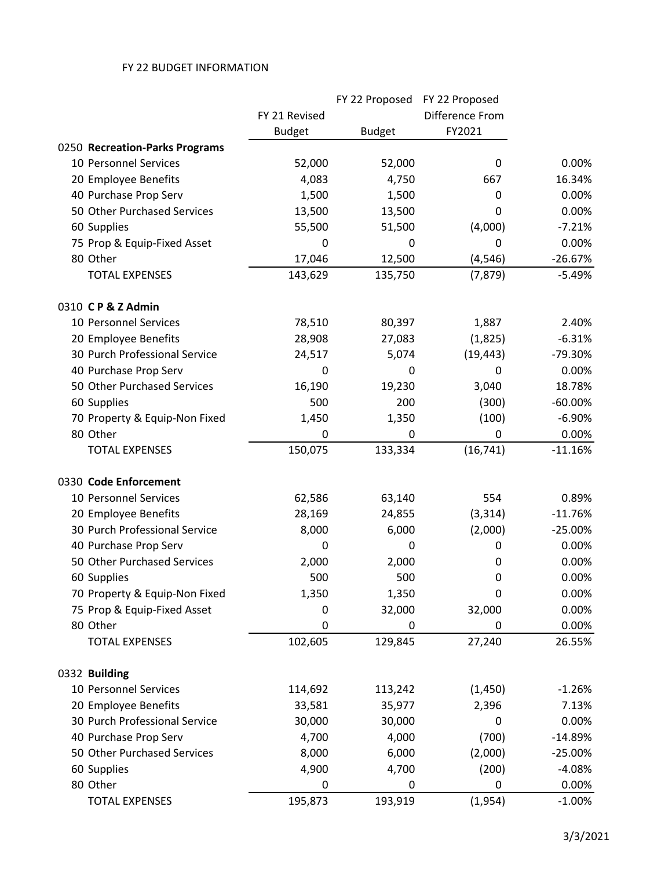|                                |               | FY 22 Proposed | FY 22 Proposed  |           |
|--------------------------------|---------------|----------------|-----------------|-----------|
|                                | FY 21 Revised |                | Difference From |           |
|                                | <b>Budget</b> | <b>Budget</b>  | FY2021          |           |
| 0250 Recreation-Parks Programs |               |                |                 |           |
| 10 Personnel Services          | 52,000        | 52,000         | 0               | 0.00%     |
| 20 Employee Benefits           | 4,083         | 4,750          | 667             | 16.34%    |
| 40 Purchase Prop Serv          | 1,500         | 1,500          | 0               | 0.00%     |
| 50 Other Purchased Services    | 13,500        | 13,500         | 0               | 0.00%     |
| 60 Supplies                    | 55,500        | 51,500         | (4,000)         | $-7.21%$  |
| 75 Prop & Equip-Fixed Asset    | 0             | 0              | 0               | 0.00%     |
| 80 Other                       | 17,046        | 12,500         | (4, 546)        | $-26.67%$ |
| <b>TOTAL EXPENSES</b>          | 143,629       | 135,750        | (7, 879)        | $-5.49%$  |
| 0310 CP&Z Admin                |               |                |                 |           |
| 10 Personnel Services          | 78,510        | 80,397         | 1,887           | 2.40%     |
| 20 Employee Benefits           | 28,908        | 27,083         | (1,825)         | $-6.31%$  |
| 30 Purch Professional Service  | 24,517        | 5,074          | (19, 443)       | -79.30%   |
| 40 Purchase Prop Serv          | 0             | 0              | 0               | 0.00%     |
| 50 Other Purchased Services    | 16,190        | 19,230         | 3,040           | 18.78%    |
| 60 Supplies                    | 500           | 200            | (300)           | $-60.00%$ |
| 70 Property & Equip-Non Fixed  | 1,450         | 1,350          | (100)           | $-6.90%$  |
| 80 Other                       | 0             | 0              | 0               | 0.00%     |
| <b>TOTAL EXPENSES</b>          | 150,075       | 133,334        | (16, 741)       | $-11.16%$ |
| 0330 Code Enforcement          |               |                |                 |           |
| 10 Personnel Services          | 62,586        | 63,140         | 554             | 0.89%     |
| 20 Employee Benefits           | 28,169        | 24,855         | (3, 314)        | $-11.76%$ |
| 30 Purch Professional Service  | 8,000         | 6,000          | (2,000)         | $-25.00%$ |
| 40 Purchase Prop Serv          | 0             | 0              | 0               | 0.00%     |
| 50 Other Purchased Services    | 2,000         | 2,000          | 0               | 0.00%     |
| 60 Supplies                    | 500           | 500            | 0               | 0.00%     |
| 70 Property & Equip-Non Fixed  | 1,350         | 1,350          | 0               | 0.00%     |
| 75 Prop & Equip-Fixed Asset    | 0             | 32,000         | 32,000          | 0.00%     |
| 80 Other                       | 0             | 0              | 0               | 0.00%     |
| <b>TOTAL EXPENSES</b>          | 102,605       | 129,845        | 27,240          | 26.55%    |
| 0332 Building                  |               |                |                 |           |
| 10 Personnel Services          | 114,692       | 113,242        | (1, 450)        | $-1.26%$  |
| 20 Employee Benefits           | 33,581        | 35,977         | 2,396           | 7.13%     |
| 30 Purch Professional Service  | 30,000        | 30,000         | 0               | 0.00%     |
| 40 Purchase Prop Serv          | 4,700         | 4,000          | (700)           | $-14.89%$ |
| 50 Other Purchased Services    | 8,000         | 6,000          | (2,000)         | $-25.00%$ |
| 60 Supplies                    | 4,900         | 4,700          | (200)           | $-4.08%$  |
| 80 Other                       | 0             | 0              | 0               | 0.00%     |
| <b>TOTAL EXPENSES</b>          | 195,873       | 193,919        | (1,954)         | $-1.00%$  |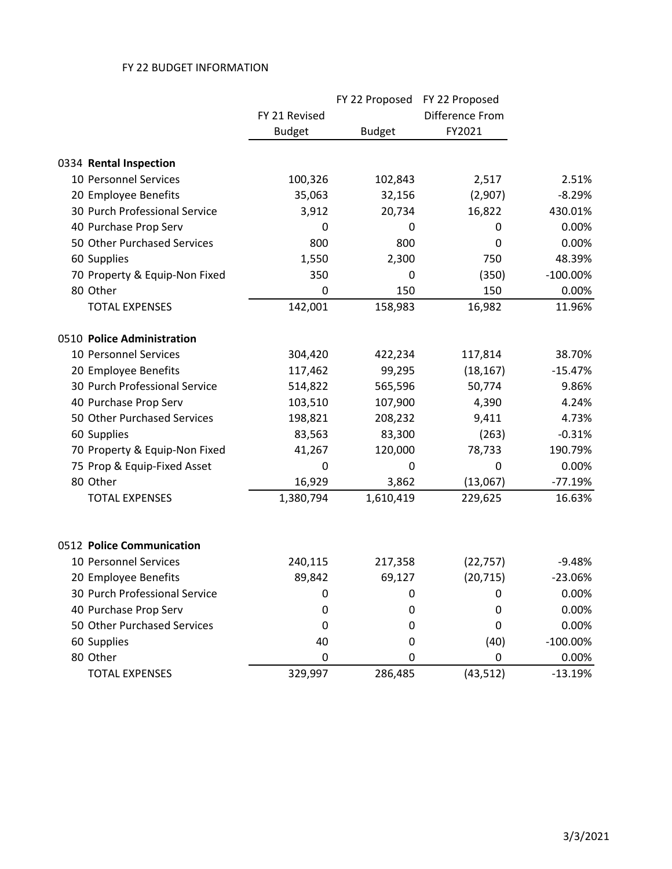|                               |               | FY 22 Proposed | FY 22 Proposed  |             |
|-------------------------------|---------------|----------------|-----------------|-------------|
|                               | FY 21 Revised |                | Difference From |             |
|                               | <b>Budget</b> | <b>Budget</b>  | FY2021          |             |
| 0334 Rental Inspection        |               |                |                 |             |
| 10 Personnel Services         | 100,326       | 102,843        | 2,517           | 2.51%       |
| 20 Employee Benefits          | 35,063        | 32,156         | (2,907)         | $-8.29%$    |
| 30 Purch Professional Service | 3,912         | 20,734         | 16,822          | 430.01%     |
| 40 Purchase Prop Serv         | 0             | 0              | 0               | 0.00%       |
| 50 Other Purchased Services   | 800           | 800            | 0               | 0.00%       |
| 60 Supplies                   | 1,550         | 2,300          | 750             | 48.39%      |
| 70 Property & Equip-Non Fixed | 350           | 0              | (350)           | $-100.00\%$ |
| 80 Other                      | 0             | 150            | 150             | 0.00%       |
| <b>TOTAL EXPENSES</b>         | 142,001       | 158,983        | 16,982          | 11.96%      |
| 0510 Police Administration    |               |                |                 |             |
| 10 Personnel Services         | 304,420       | 422,234        | 117,814         | 38.70%      |
| 20 Employee Benefits          | 117,462       | 99,295         | (18, 167)       | $-15.47%$   |
| 30 Purch Professional Service | 514,822       | 565,596        | 50,774          | 9.86%       |
| 40 Purchase Prop Serv         | 103,510       | 107,900        | 4,390           | 4.24%       |
| 50 Other Purchased Services   | 198,821       | 208,232        | 9,411           | 4.73%       |
| 60 Supplies                   | 83,563        | 83,300         | (263)           | $-0.31%$    |
| 70 Property & Equip-Non Fixed | 41,267        | 120,000        | 78,733          | 190.79%     |
| 75 Prop & Equip-Fixed Asset   | 0             | 0              | 0               | 0.00%       |
| 80 Other                      | 16,929        | 3,862          | (13,067)        | $-77.19%$   |
| <b>TOTAL EXPENSES</b>         | 1,380,794     | 1,610,419      | 229,625         | 16.63%      |
| 0512 Police Communication     |               |                |                 |             |
| 10 Personnel Services         | 240,115       | 217,358        | (22, 757)       | $-9.48%$    |
| 20 Employee Benefits          | 89,842        | 69,127         | (20, 715)       | $-23.06%$   |
| 30 Purch Professional Service | 0             | 0              | 0               | 0.00%       |
| 40 Purchase Prop Serv         | 0             | 0              | 0               | 0.00%       |
| 50 Other Purchased Services   | 0             | 0              | 0               | 0.00%       |
| 60 Supplies                   | 40            | 0              | (40)            | $-100.00\%$ |
| 80 Other                      | 0             | 0              | 0               | 0.00%       |
| <b>TOTAL EXPENSES</b>         | 329,997       | 286,485        | (43, 512)       | $-13.19%$   |
|                               |               |                |                 |             |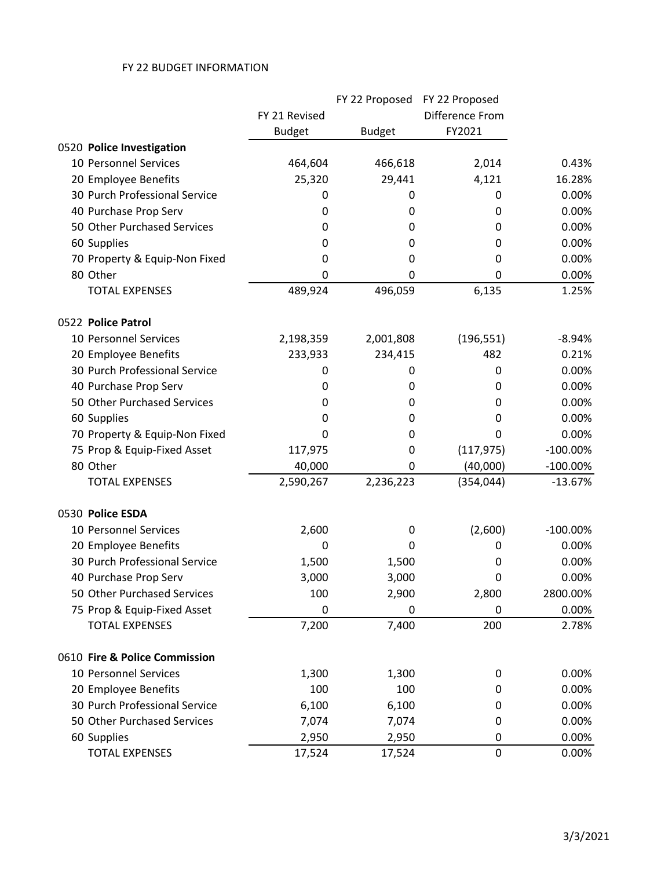|                               |               | FY 22 Proposed | FY 22 Proposed  |             |
|-------------------------------|---------------|----------------|-----------------|-------------|
|                               | FY 21 Revised |                | Difference From |             |
|                               | <b>Budget</b> | <b>Budget</b>  | FY2021          |             |
| 0520 Police Investigation     |               |                |                 |             |
| 10 Personnel Services         | 464,604       | 466,618        | 2,014           | 0.43%       |
| 20 Employee Benefits          | 25,320        | 29,441         | 4,121           | 16.28%      |
| 30 Purch Professional Service | 0             | 0              | 0               | 0.00%       |
| 40 Purchase Prop Serv         | 0             | 0              | 0               | 0.00%       |
| 50 Other Purchased Services   | 0             | 0              | 0               | 0.00%       |
| 60 Supplies                   | 0             | 0              | 0               | 0.00%       |
| 70 Property & Equip-Non Fixed | 0             | 0              | 0               | 0.00%       |
| 80 Other                      | 0             | 0              | 0               | 0.00%       |
| <b>TOTAL EXPENSES</b>         | 489,924       | 496,059        | 6,135           | 1.25%       |
| 0522 Police Patrol            |               |                |                 |             |
| 10 Personnel Services         | 2,198,359     | 2,001,808      | (196, 551)      | $-8.94%$    |
| 20 Employee Benefits          | 233,933       | 234,415        | 482             | 0.21%       |
| 30 Purch Professional Service | 0             | 0              | 0               | 0.00%       |
| 40 Purchase Prop Serv         | 0             | 0              | 0               | 0.00%       |
| 50 Other Purchased Services   | 0             | 0              | 0               | 0.00%       |
| 60 Supplies                   | 0             | 0              | 0               | 0.00%       |
| 70 Property & Equip-Non Fixed | 0             | 0              | 0               | 0.00%       |
| 75 Prop & Equip-Fixed Asset   | 117,975       | 0              | (117, 975)      | $-100.00\%$ |
| 80 Other                      | 40,000        | 0              | (40,000)        | $-100.00\%$ |
| <b>TOTAL EXPENSES</b>         | 2,590,267     | 2,236,223      | (354, 044)      | $-13.67%$   |
| 0530 Police ESDA              |               |                |                 |             |
| 10 Personnel Services         | 2,600         | 0              | (2,600)         | $-100.00\%$ |
| 20 Employee Benefits          | 0             | 0              | 0               | 0.00%       |
| 30 Purch Professional Service | 1,500         | 1,500          | 0               | 0.00%       |
| 40 Purchase Prop Serv         | 3,000         | 3,000          | 0               | 0.00%       |
| 50 Other Purchased Services   | 100           | 2,900          | 2,800           | 2800.00%    |
| 75 Prop & Equip-Fixed Asset   | 0             | 0              | 0               | 0.00%       |
| <b>TOTAL EXPENSES</b>         | 7,200         | 7,400          | 200             | 2.78%       |
| 0610 Fire & Police Commission |               |                |                 |             |
| 10 Personnel Services         | 1,300         | 1,300          | 0               | 0.00%       |
| 20 Employee Benefits          | 100           | 100            | 0               | 0.00%       |
| 30 Purch Professional Service | 6,100         | 6,100          | 0               | 0.00%       |
| 50 Other Purchased Services   | 7,074         | 7,074          | 0               | 0.00%       |
| 60 Supplies                   | 2,950         | 2,950          | 0               | 0.00%       |
| <b>TOTAL EXPENSES</b>         | 17,524        | 17,524         | $\pmb{0}$       | 0.00%       |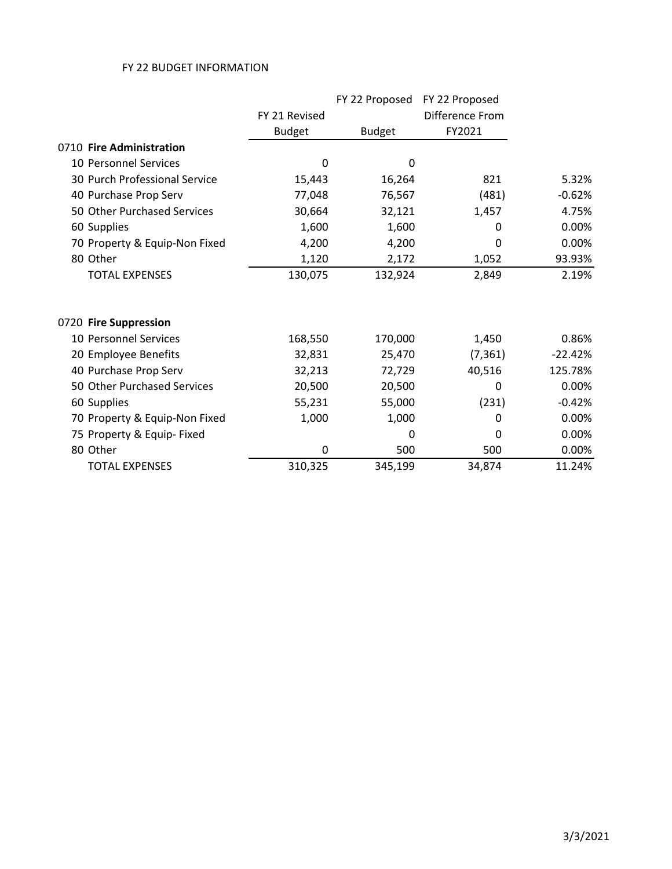|                               |               | FY 22 Proposed | FY 22 Proposed  |           |
|-------------------------------|---------------|----------------|-----------------|-----------|
|                               | FY 21 Revised |                | Difference From |           |
|                               | <b>Budget</b> | <b>Budget</b>  | FY2021          |           |
| 0710 Fire Administration      |               |                |                 |           |
| 10 Personnel Services         | $\mathbf 0$   | 0              |                 |           |
| 30 Purch Professional Service | 15,443        | 16,264         | 821             | 5.32%     |
| 40 Purchase Prop Serv         | 77,048        | 76,567         | (481)           | $-0.62%$  |
| 50 Other Purchased Services   | 30,664        | 32,121         | 1,457           | 4.75%     |
| 60 Supplies                   | 1,600         | 1,600          | 0               | 0.00%     |
| 70 Property & Equip-Non Fixed | 4,200         | 4,200          | $\Omega$        | 0.00%     |
| 80 Other                      | 1,120         | 2,172          | 1,052           | 93.93%    |
| <b>TOTAL EXPENSES</b>         | 130,075       | 132,924        | 2,849           | 2.19%     |
| 0720 Fire Suppression         |               |                |                 |           |
| 10 Personnel Services         | 168,550       | 170,000        | 1,450           | 0.86%     |
| 20 Employee Benefits          | 32,831        | 25,470         | (7, 361)        | $-22.42%$ |
| 40 Purchase Prop Serv         | 32,213        | 72,729         | 40,516          | 125.78%   |
| 50 Other Purchased Services   | 20,500        | 20,500         | 0               | 0.00%     |
| 60 Supplies                   | 55,231        | 55,000         | (231)           | $-0.42%$  |
| 70 Property & Equip-Non Fixed | 1,000         | 1,000          | 0               | 0.00%     |
| 75 Property & Equip- Fixed    |               | 0              | 0               | 0.00%     |
| 80 Other                      | 0             | 500            | 500             | 0.00%     |
| <b>TOTAL EXPENSES</b>         | 310,325       | 345,199        | 34,874          | 11.24%    |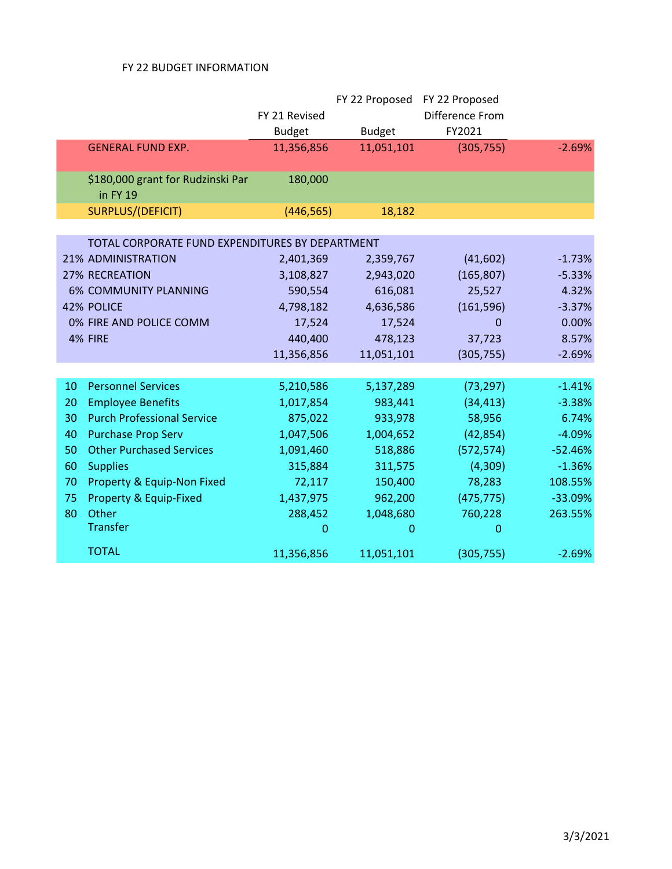|    |                                                 |               | FY 22 Proposed | FY 22 Proposed  |           |
|----|-------------------------------------------------|---------------|----------------|-----------------|-----------|
|    |                                                 | FY 21 Revised |                | Difference From |           |
|    |                                                 | <b>Budget</b> | <b>Budget</b>  | FY2021          |           |
|    | <b>GENERAL FUND EXP.</b>                        | 11,356,856    | 11,051,101     | (305, 755)      | $-2.69%$  |
|    |                                                 |               |                |                 |           |
|    | \$180,000 grant for Rudzinski Par<br>in FY 19   | 180,000       |                |                 |           |
|    | SURPLUS/(DEFICIT)                               | (446, 565)    | 18,182         |                 |           |
|    |                                                 |               |                |                 |           |
|    | TOTAL CORPORATE FUND EXPENDITURES BY DEPARTMENT |               |                |                 |           |
|    | <b>21% ADMINISTRATION</b>                       | 2,401,369     | 2,359,767      | (41,602)        | $-1.73%$  |
|    | <b>27% RECREATION</b>                           | 3,108,827     | 2,943,020      | (165, 807)      | $-5.33%$  |
|    | <b>6% COMMUNITY PLANNING</b>                    | 590,554       | 616,081        | 25,527          | 4.32%     |
|    | 42% POLICE                                      | 4,798,182     | 4,636,586      | (161, 596)      | $-3.37%$  |
|    | 0% FIRE AND POLICE COMM                         | 17,524        | 17,524         | 0               | 0.00%     |
|    | 4% FIRE                                         | 440,400       | 478,123        | 37,723          | 8.57%     |
|    |                                                 | 11,356,856    | 11,051,101     | (305, 755)      | $-2.69%$  |
|    |                                                 |               |                |                 |           |
| 10 | <b>Personnel Services</b>                       | 5,210,586     | 5,137,289      | (73, 297)       | $-1.41%$  |
| 20 | <b>Employee Benefits</b>                        | 1,017,854     | 983,441        | (34, 413)       | $-3.38%$  |
| 30 | <b>Purch Professional Service</b>               | 875,022       | 933,978        | 58,956          | 6.74%     |
| 40 | <b>Purchase Prop Serv</b>                       | 1,047,506     | 1,004,652      | (42, 854)       | $-4.09%$  |
| 50 | <b>Other Purchased Services</b>                 | 1,091,460     | 518,886        | (572, 574)      | $-52.46%$ |
| 60 | <b>Supplies</b>                                 | 315,884       | 311,575        | (4,309)         | $-1.36%$  |
| 70 | Property & Equip-Non Fixed                      | 72,117        | 150,400        | 78,283          | 108.55%   |
| 75 | Property & Equip-Fixed                          | 1,437,975     | 962,200        | (475, 775)      | $-33.09%$ |
| 80 | Other                                           | 288,452       | 1,048,680      | 760,228         | 263.55%   |
|    | Transfer                                        | $\mathbf{0}$  | 0              | 0               |           |
|    | <b>TOTAL</b>                                    | 11,356,856    | 11,051,101     | (305, 755)      | $-2.69%$  |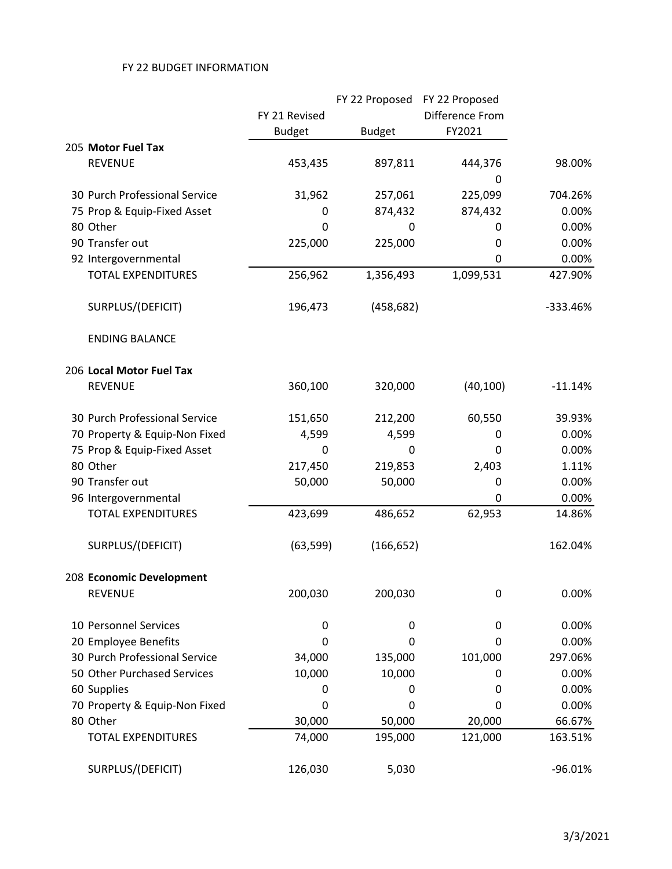|                               |               | FY 22 Proposed FY 22 Proposed |                 |           |
|-------------------------------|---------------|-------------------------------|-----------------|-----------|
|                               | FY 21 Revised |                               | Difference From |           |
|                               | <b>Budget</b> | <b>Budget</b>                 | FY2021          |           |
| 205 Motor Fuel Tax            |               |                               |                 |           |
| <b>REVENUE</b>                | 453,435       | 897,811                       | 444,376         | 98.00%    |
|                               |               |                               | 0               |           |
| 30 Purch Professional Service | 31,962        | 257,061                       | 225,099         | 704.26%   |
| 75 Prop & Equip-Fixed Asset   | 0             | 874,432                       | 874,432         | 0.00%     |
| 80 Other                      | 0             | 0                             | 0               | 0.00%     |
| 90 Transfer out               | 225,000       | 225,000                       | 0               | 0.00%     |
| 92 Intergovernmental          |               |                               | 0               | 0.00%     |
| <b>TOTAL EXPENDITURES</b>     | 256,962       | 1,356,493                     | 1,099,531       | 427.90%   |
| SURPLUS/(DEFICIT)             | 196,473       | (458, 682)                    |                 | -333.46%  |
| <b>ENDING BALANCE</b>         |               |                               |                 |           |
| 206 Local Motor Fuel Tax      |               |                               |                 |           |
| <b>REVENUE</b>                | 360,100       | 320,000                       | (40, 100)       | $-11.14%$ |
| 30 Purch Professional Service | 151,650       | 212,200                       | 60,550          | 39.93%    |
| 70 Property & Equip-Non Fixed | 4,599         | 4,599                         | 0               | 0.00%     |
| 75 Prop & Equip-Fixed Asset   | 0             | 0                             | 0               | 0.00%     |
| 80 Other                      | 217,450       | 219,853                       | 2,403           | 1.11%     |
| 90 Transfer out               | 50,000        | 50,000                        | 0               | 0.00%     |
| 96 Intergovernmental          |               |                               | 0               | 0.00%     |
| <b>TOTAL EXPENDITURES</b>     | 423,699       | 486,652                       | 62,953          | 14.86%    |
| SURPLUS/(DEFICIT)             | (63, 599)     | (166, 652)                    |                 | 162.04%   |
| 208 Economic Development      |               |                               |                 |           |
| <b>REVENUE</b>                | 200,030       | 200,030                       | 0               | 0.00%     |
| 10 Personnel Services         | 0             | 0                             | 0               | 0.00%     |
| 20 Employee Benefits          | 0             | 0                             | 0               | 0.00%     |
| 30 Purch Professional Service | 34,000        | 135,000                       | 101,000         | 297.06%   |
| 50 Other Purchased Services   | 10,000        | 10,000                        | 0               | 0.00%     |
| 60 Supplies                   | 0             | 0                             | 0               | 0.00%     |
| 70 Property & Equip-Non Fixed | 0             | 0                             | 0               | 0.00%     |
| 80 Other                      | 30,000        | 50,000                        | 20,000          | 66.67%    |
| <b>TOTAL EXPENDITURES</b>     | 74,000        | 195,000                       | 121,000         | 163.51%   |
| SURPLUS/(DEFICIT)             | 126,030       | 5,030                         |                 | $-96.01%$ |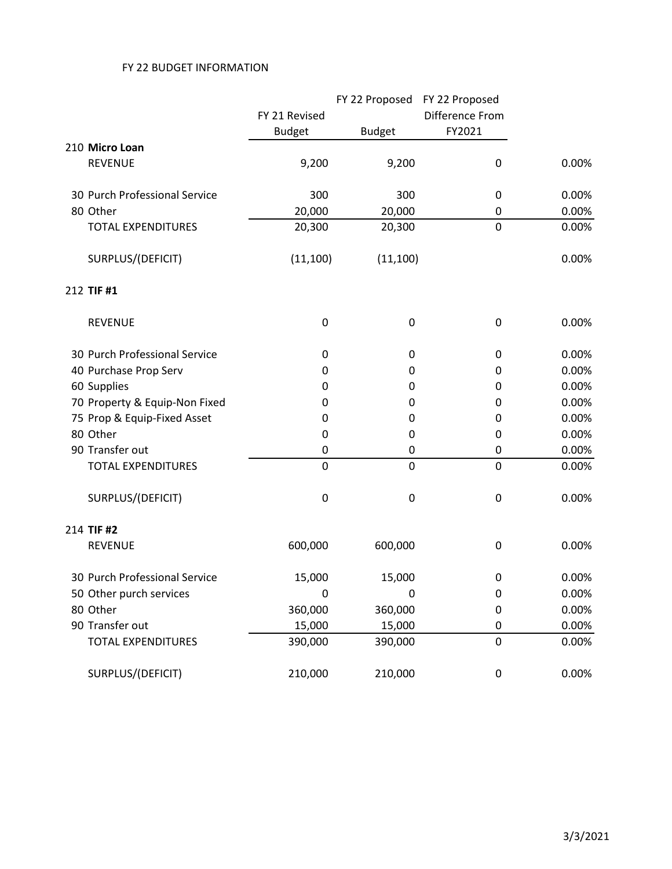|                               |               |               | FY 22 Proposed FY 22 Proposed |       |
|-------------------------------|---------------|---------------|-------------------------------|-------|
|                               | FY 21 Revised |               | Difference From               |       |
|                               | <b>Budget</b> | <b>Budget</b> | FY2021                        |       |
| 210 Micro Loan                |               |               |                               |       |
| <b>REVENUE</b>                | 9,200         | 9,200         | 0                             | 0.00% |
| 30 Purch Professional Service | 300           | 300           | 0                             | 0.00% |
| 80 Other                      | 20,000        | 20,000        | 0                             | 0.00% |
| <b>TOTAL EXPENDITURES</b>     | 20,300        | 20,300        | $\mathbf 0$                   | 0.00% |
| SURPLUS/(DEFICIT)             | (11, 100)     | (11, 100)     |                               | 0.00% |
| 212 TIF #1                    |               |               |                               |       |
| <b>REVENUE</b>                | 0             | 0             | 0                             | 0.00% |
| 30 Purch Professional Service | 0             | 0             | 0                             | 0.00% |
| 40 Purchase Prop Serv         | 0             | 0             | 0                             | 0.00% |
| 60 Supplies                   | 0             | 0             | 0                             | 0.00% |
| 70 Property & Equip-Non Fixed | 0             | 0             | 0                             | 0.00% |
| 75 Prop & Equip-Fixed Asset   | 0             | 0             | 0                             | 0.00% |
| 80 Other                      | 0             | 0             | 0                             | 0.00% |
| 90 Transfer out               | 0             | 0             | 0                             | 0.00% |
| <b>TOTAL EXPENDITURES</b>     | $\mathbf 0$   | $\mathbf 0$   | 0                             | 0.00% |
| SURPLUS/(DEFICIT)             | 0             | 0             | 0                             | 0.00% |
| 214 TIF #2                    |               |               |                               |       |
| <b>REVENUE</b>                | 600,000       | 600,000       | 0                             | 0.00% |
| 30 Purch Professional Service | 15,000        | 15,000        | 0                             | 0.00% |
| 50 Other purch services       | 0             | 0             | 0                             | 0.00% |
| 80 Other                      | 360,000       | 360,000       | 0                             | 0.00% |
| 90 Transfer out               | 15,000        | 15,000        | 0                             | 0.00% |
| <b>TOTAL EXPENDITURES</b>     | 390,000       | 390,000       | 0                             | 0.00% |
| SURPLUS/(DEFICIT)             | 210,000       | 210,000       | 0                             | 0.00% |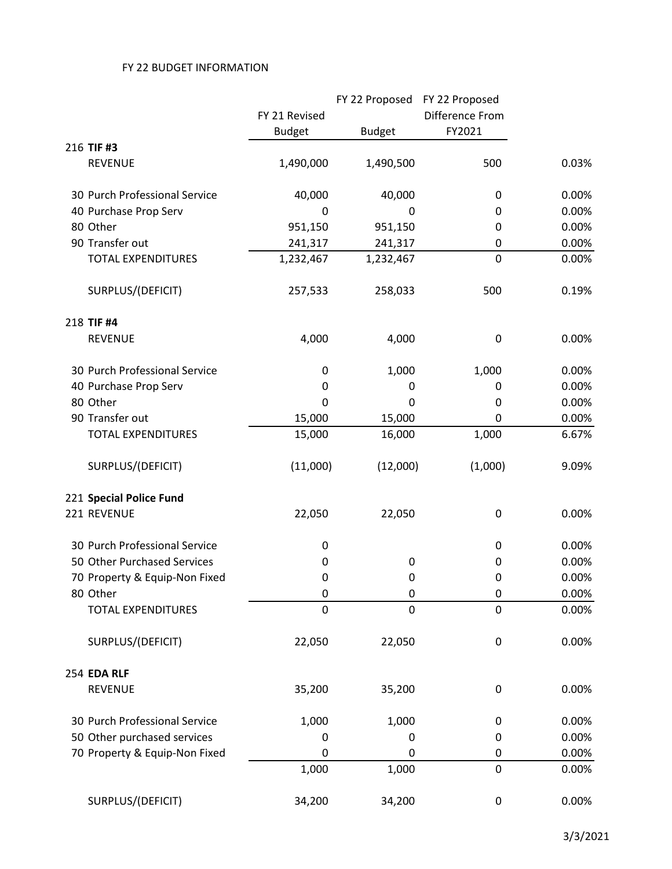|                               |               |               | FY 22 Proposed FY 22 Proposed |       |
|-------------------------------|---------------|---------------|-------------------------------|-------|
|                               | FY 21 Revised |               | Difference From               |       |
|                               | <b>Budget</b> | <b>Budget</b> | FY2021                        |       |
| 216 TIF #3                    |               |               |                               |       |
| <b>REVENUE</b>                | 1,490,000     | 1,490,500     | 500                           | 0.03% |
| 30 Purch Professional Service | 40,000        | 40,000        | 0                             | 0.00% |
| 40 Purchase Prop Serv         | 0             | 0             | 0                             | 0.00% |
| 80 Other                      | 951,150       | 951,150       | 0                             | 0.00% |
| 90 Transfer out               | 241,317       | 241,317       | 0                             | 0.00% |
| <b>TOTAL EXPENDITURES</b>     | 1,232,467     | 1,232,467     | $\overline{0}$                | 0.00% |
| SURPLUS/(DEFICIT)             | 257,533       | 258,033       | 500                           | 0.19% |
| 218 TIF #4                    |               |               |                               |       |
| <b>REVENUE</b>                | 4,000         | 4,000         | 0                             | 0.00% |
| 30 Purch Professional Service | 0             | 1,000         | 1,000                         | 0.00% |
| 40 Purchase Prop Serv         | 0             | 0             | 0                             | 0.00% |
| 80 Other                      | 0             | 0             | 0                             | 0.00% |
| 90 Transfer out               | 15,000        | 15,000        | 0                             | 0.00% |
| <b>TOTAL EXPENDITURES</b>     | 15,000        | 16,000        | 1,000                         | 6.67% |
| SURPLUS/(DEFICIT)             | (11,000)      | (12,000)      | (1,000)                       | 9.09% |
| 221 Special Police Fund       |               |               |                               |       |
| 221 REVENUE                   | 22,050        | 22,050        | 0                             | 0.00% |
| 30 Purch Professional Service | 0             |               | 0                             | 0.00% |
| 50 Other Purchased Services   | 0             | 0             | 0                             | 0.00% |
| 70 Property & Equip-Non Fixed | 0             | 0             | 0                             | 0.00% |
| 80 Other                      | $\pmb{0}$     | 0             | 0                             | 0.00% |
| <b>TOTAL EXPENDITURES</b>     | $\mathbf 0$   | 0             | 0                             | 0.00% |
| SURPLUS/(DEFICIT)             | 22,050        | 22,050        | 0                             | 0.00% |
| 254 EDA RLF                   |               |               |                               |       |
| <b>REVENUE</b>                | 35,200        | 35,200        | 0                             | 0.00% |
| 30 Purch Professional Service | 1,000         | 1,000         | 0                             | 0.00% |
| 50 Other purchased services   | 0             | 0             | 0                             | 0.00% |
| 70 Property & Equip-Non Fixed | 0             | 0             | 0                             | 0.00% |
|                               | 1,000         | 1,000         | 0                             | 0.00% |
| SURPLUS/(DEFICIT)             | 34,200        | 34,200        | 0                             | 0.00% |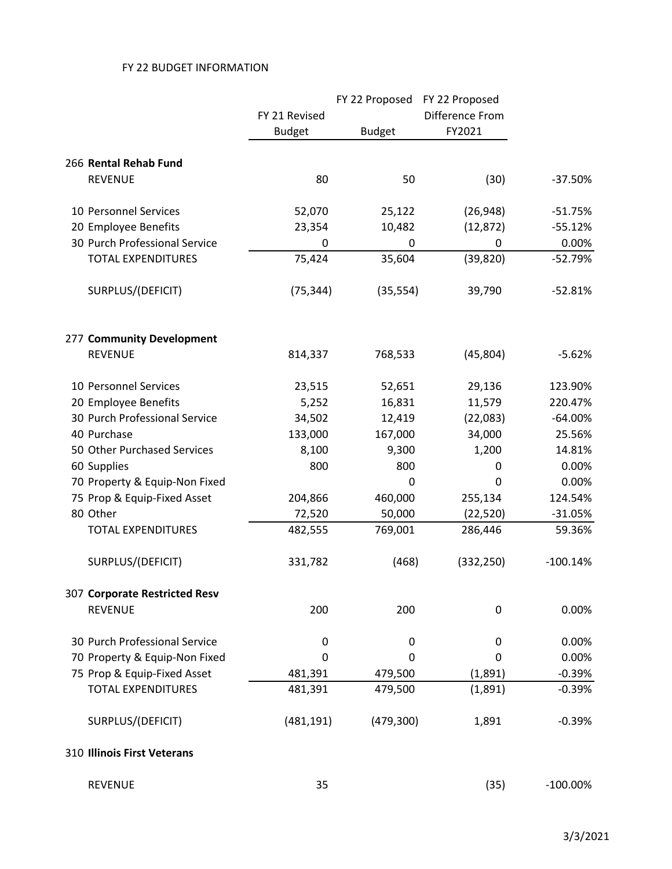|                               |               | FY 22 Proposed | FY 22 Proposed  |             |
|-------------------------------|---------------|----------------|-----------------|-------------|
|                               | FY 21 Revised |                | Difference From |             |
|                               | <b>Budget</b> | <b>Budget</b>  | FY2021          |             |
| 266 Rental Rehab Fund         |               |                |                 |             |
| <b>REVENUE</b>                | 80            | 50             | (30)            | $-37.50%$   |
| 10 Personnel Services         | 52,070        | 25,122         | (26, 948)       | $-51.75%$   |
| 20 Employee Benefits          | 23,354        | 10,482         | (12, 872)       | $-55.12%$   |
| 30 Purch Professional Service | 0             | 0              | 0               | 0.00%       |
| <b>TOTAL EXPENDITURES</b>     | 75,424        | 35,604         | (39, 820)       | $-52.79%$   |
| SURPLUS/(DEFICIT)             | (75, 344)     | (35, 554)      | 39,790          | $-52.81%$   |
| 277 Community Development     |               |                |                 |             |
| <b>REVENUE</b>                | 814,337       | 768,533        | (45, 804)       | $-5.62%$    |
| 10 Personnel Services         | 23,515        | 52,651         | 29,136          | 123.90%     |
| 20 Employee Benefits          | 5,252         | 16,831         | 11,579          | 220.47%     |
| 30 Purch Professional Service | 34,502        | 12,419         | (22,083)        | $-64.00%$   |
| 40 Purchase                   | 133,000       | 167,000        | 34,000          | 25.56%      |
| 50 Other Purchased Services   | 8,100         | 9,300          | 1,200           | 14.81%      |
| 60 Supplies                   | 800           | 800            | 0               | 0.00%       |
| 70 Property & Equip-Non Fixed |               | 0              | 0               | 0.00%       |
| 75 Prop & Equip-Fixed Asset   | 204,866       | 460,000        | 255,134         | 124.54%     |
| 80 Other                      | 72,520        | 50,000         | (22, 520)       | $-31.05%$   |
| <b>TOTAL EXPENDITURES</b>     | 482,555       | 769,001        | 286,446         | 59.36%      |
| SURPLUS/(DEFICIT)             | 331,782       | (468)          | (332, 250)      | $-100.14%$  |
| 307 Corporate Restricted Resv |               |                |                 |             |
| <b>REVENUE</b>                | 200           | 200            | 0               | 0.00%       |
| 30 Purch Professional Service | 0             | 0              | 0               | 0.00%       |
| 70 Property & Equip-Non Fixed | 0             | 0              | 0               | 0.00%       |
| 75 Prop & Equip-Fixed Asset   | 481,391       | 479,500        | (1,891)         | $-0.39%$    |
| <b>TOTAL EXPENDITURES</b>     | 481,391       | 479,500        | (1,891)         | $-0.39%$    |
| SURPLUS/(DEFICIT)             | (481, 191)    | (479, 300)     | 1,891           | $-0.39%$    |
| 310 Illinois First Veterans   |               |                |                 |             |
| <b>REVENUE</b>                | 35            |                | (35)            | $-100.00\%$ |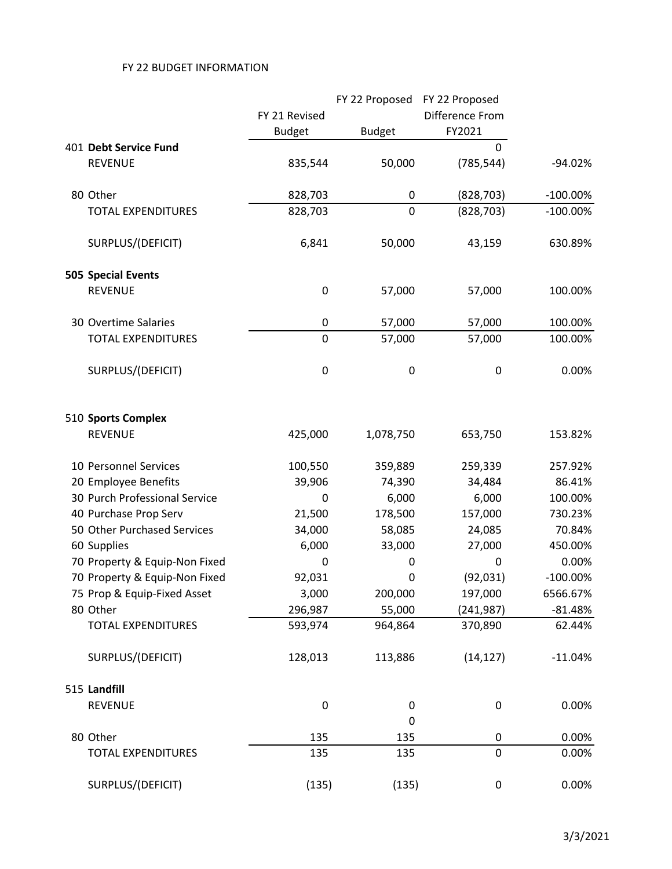|                               |                |               | FY 22 Proposed FY 22 Proposed |             |
|-------------------------------|----------------|---------------|-------------------------------|-------------|
|                               | FY 21 Revised  |               | Difference From               |             |
|                               | <b>Budget</b>  | <b>Budget</b> | FY2021                        |             |
| 401 Debt Service Fund         |                |               | $\mathbf 0$                   |             |
| <b>REVENUE</b>                | 835,544        | 50,000        | (785, 544)                    | $-94.02%$   |
| 80 Other                      | 828,703        | 0             | (828, 703)                    | $-100.00\%$ |
| <b>TOTAL EXPENDITURES</b>     | 828,703        | 0             | (828, 703)                    | $-100.00\%$ |
| SURPLUS/(DEFICIT)             | 6,841          | 50,000        | 43,159                        | 630.89%     |
| <b>505 Special Events</b>     |                |               |                               |             |
| <b>REVENUE</b>                | 0              | 57,000        | 57,000                        | 100.00%     |
| 30 Overtime Salaries          | $\pmb{0}$      | 57,000        | 57,000                        | 100.00%     |
| <b>TOTAL EXPENDITURES</b>     | $\overline{0}$ | 57,000        | 57,000                        | 100.00%     |
| SURPLUS/(DEFICIT)             | 0              | $\pmb{0}$     | 0                             | 0.00%       |
| 510 Sports Complex            |                |               |                               |             |
| <b>REVENUE</b>                | 425,000        | 1,078,750     | 653,750                       | 153.82%     |
| 10 Personnel Services         | 100,550        | 359,889       | 259,339                       | 257.92%     |
| 20 Employee Benefits          | 39,906         | 74,390        | 34,484                        | 86.41%      |
| 30 Purch Professional Service | 0              | 6,000         | 6,000                         | 100.00%     |
| 40 Purchase Prop Serv         | 21,500         | 178,500       | 157,000                       | 730.23%     |
| 50 Other Purchased Services   | 34,000         | 58,085        | 24,085                        | 70.84%      |
| 60 Supplies                   | 6,000          | 33,000        | 27,000                        | 450.00%     |
| 70 Property & Equip-Non Fixed | 0              | 0             | 0                             | 0.00%       |
| 70 Property & Equip-Non Fixed | 92,031         | 0             | (92, 031)                     | $-100.00\%$ |
| 75 Prop & Equip-Fixed Asset   | 3,000          | 200,000       | 197,000                       | 6566.67%    |
| 80 Other                      | 296,987        | 55,000        | (241, 987)                    | $-81.48%$   |
| <b>TOTAL EXPENDITURES</b>     | 593,974        | 964,864       | 370,890                       | 62.44%      |
| SURPLUS/(DEFICIT)             | 128,013        | 113,886       | (14, 127)                     | $-11.04%$   |
| 515 Landfill                  |                |               |                               |             |
| <b>REVENUE</b>                | 0              | 0             | 0                             | 0.00%       |
|                               |                | 0             |                               |             |
| 80 Other                      | 135            | 135           | 0                             | 0.00%       |
| <b>TOTAL EXPENDITURES</b>     | 135            | 135           | 0                             | 0.00%       |
| SURPLUS/(DEFICIT)             | (135)          | (135)         | 0                             | 0.00%       |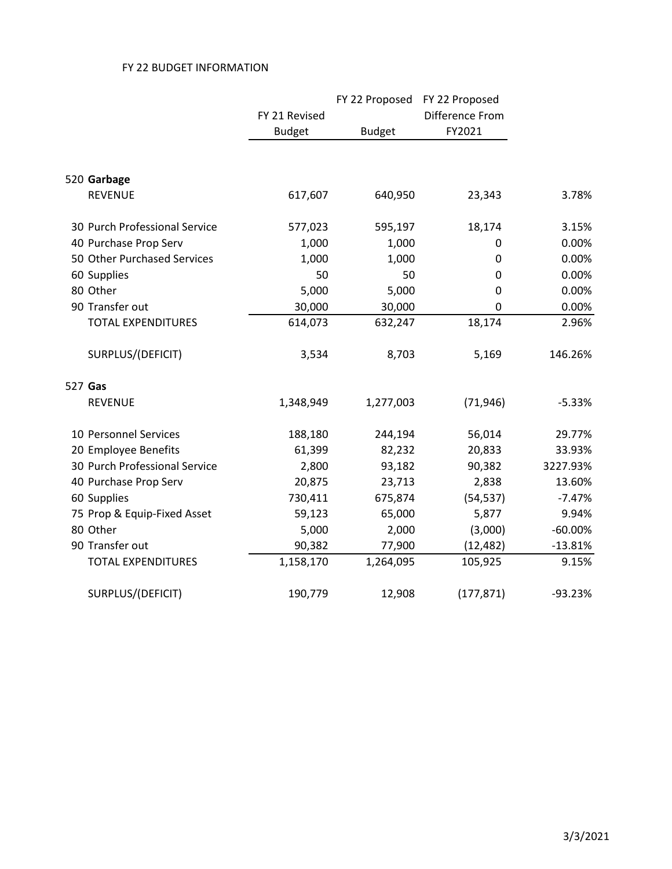|                               |               | FY 22 Proposed | FY 22 Proposed  |           |
|-------------------------------|---------------|----------------|-----------------|-----------|
|                               | FY 21 Revised |                | Difference From |           |
|                               | <b>Budget</b> | <b>Budget</b>  | FY2021          |           |
|                               |               |                |                 |           |
| 520 Garbage                   |               |                |                 |           |
| <b>REVENUE</b>                | 617,607       | 640,950        | 23,343          | 3.78%     |
| 30 Purch Professional Service | 577,023       | 595,197        | 18,174          | 3.15%     |
| 40 Purchase Prop Serv         | 1,000         | 1,000          | 0               | 0.00%     |
| 50 Other Purchased Services   | 1,000         | 1,000          | 0               | 0.00%     |
| 60 Supplies                   | 50            | 50             | 0               | 0.00%     |
| 80 Other                      | 5,000         | 5,000          | $\mathbf 0$     | 0.00%     |
| 90 Transfer out               | 30,000        | 30,000         | 0               | 0.00%     |
| <b>TOTAL EXPENDITURES</b>     | 614,073       | 632,247        | 18,174          | 2.96%     |
| SURPLUS/(DEFICIT)             | 3,534         | 8,703          | 5,169           | 146.26%   |
| 527 Gas                       |               |                |                 |           |
| <b>REVENUE</b>                | 1,348,949     | 1,277,003      | (71, 946)       | $-5.33%$  |
| 10 Personnel Services         | 188,180       | 244,194        | 56,014          | 29.77%    |
| 20 Employee Benefits          | 61,399        | 82,232         | 20,833          | 33.93%    |
| 30 Purch Professional Service | 2,800         | 93,182         | 90,382          | 3227.93%  |
| 40 Purchase Prop Serv         | 20,875        | 23,713         | 2,838           | 13.60%    |
| 60 Supplies                   | 730,411       | 675,874        | (54, 537)       | $-7.47%$  |
| 75 Prop & Equip-Fixed Asset   | 59,123        | 65,000         | 5,877           | 9.94%     |
| 80 Other                      | 5,000         | 2,000          | (3,000)         | $-60.00%$ |
| 90 Transfer out               | 90,382        | 77,900         | (12, 482)       | $-13.81%$ |
| <b>TOTAL EXPENDITURES</b>     | 1,158,170     | 1,264,095      | 105,925         | 9.15%     |
| SURPLUS/(DEFICIT)             | 190,779       | 12,908         | (177, 871)      | $-93.23%$ |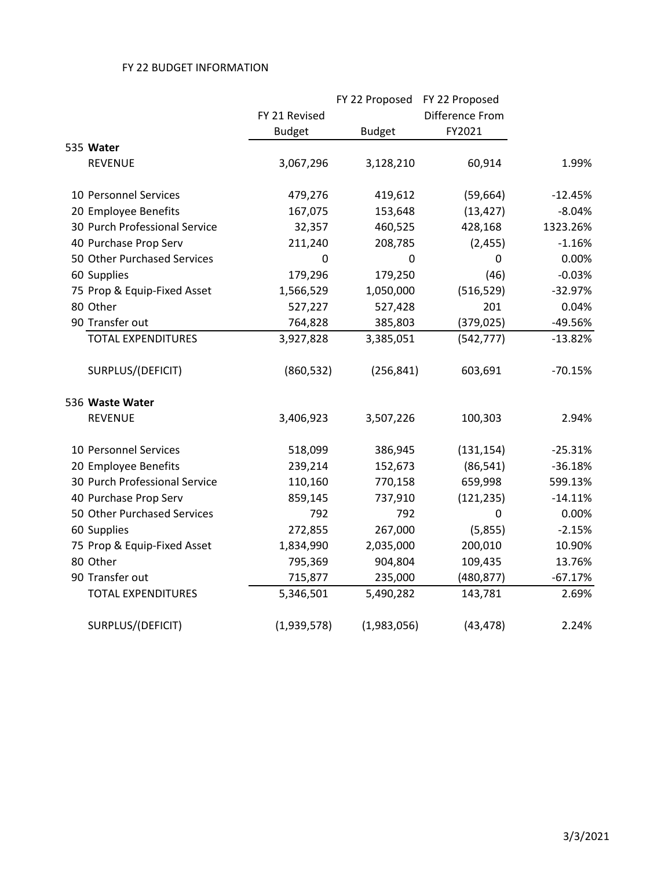|                               |               |               | FY 22 Proposed FY 22 Proposed |           |
|-------------------------------|---------------|---------------|-------------------------------|-----------|
|                               | FY 21 Revised |               | Difference From               |           |
|                               | <b>Budget</b> | <b>Budget</b> | FY2021                        |           |
| 535 Water                     |               |               |                               |           |
| <b>REVENUE</b>                | 3,067,296     | 3,128,210     | 60,914                        | 1.99%     |
| 10 Personnel Services         | 479,276       | 419,612       | (59, 664)                     | $-12.45%$ |
| 20 Employee Benefits          | 167,075       | 153,648       | (13, 427)                     | $-8.04%$  |
| 30 Purch Professional Service | 32,357        | 460,525       | 428,168                       | 1323.26%  |
| 40 Purchase Prop Serv         | 211,240       | 208,785       | (2, 455)                      | $-1.16%$  |
| 50 Other Purchased Services   | $\pmb{0}$     | 0             | $\mathbf 0$                   | 0.00%     |
| 60 Supplies                   | 179,296       | 179,250       | (46)                          | $-0.03%$  |
| 75 Prop & Equip-Fixed Asset   | 1,566,529     | 1,050,000     | (516, 529)                    | $-32.97%$ |
| 80 Other                      | 527,227       | 527,428       | 201                           | 0.04%     |
| 90 Transfer out               | 764,828       | 385,803       | (379, 025)                    | -49.56%   |
| <b>TOTAL EXPENDITURES</b>     | 3,927,828     | 3,385,051     | (542, 777)                    | $-13.82%$ |
| SURPLUS/(DEFICIT)             | (860, 532)    | (256, 841)    | 603,691                       | $-70.15%$ |
| 536 Waste Water               |               |               |                               |           |
| <b>REVENUE</b>                | 3,406,923     | 3,507,226     | 100,303                       | 2.94%     |
| 10 Personnel Services         | 518,099       | 386,945       | (131, 154)                    | $-25.31%$ |
| 20 Employee Benefits          | 239,214       | 152,673       | (86, 541)                     | $-36.18%$ |
| 30 Purch Professional Service | 110,160       | 770,158       | 659,998                       | 599.13%   |
| 40 Purchase Prop Serv         | 859,145       | 737,910       | (121, 235)                    | $-14.11%$ |
| 50 Other Purchased Services   | 792           | 792           | $\mathbf 0$                   | 0.00%     |
| 60 Supplies                   | 272,855       | 267,000       | (5,855)                       | $-2.15%$  |
| 75 Prop & Equip-Fixed Asset   | 1,834,990     | 2,035,000     | 200,010                       | 10.90%    |
| 80 Other                      | 795,369       | 904,804       | 109,435                       | 13.76%    |
| 90 Transfer out               | 715,877       | 235,000       | (480, 877)                    | $-67.17%$ |
| <b>TOTAL EXPENDITURES</b>     | 5,346,501     | 5,490,282     | 143,781                       | 2.69%     |
| SURPLUS/(DEFICIT)             | (1,939,578)   | (1,983,056)   | (43, 478)                     | 2.24%     |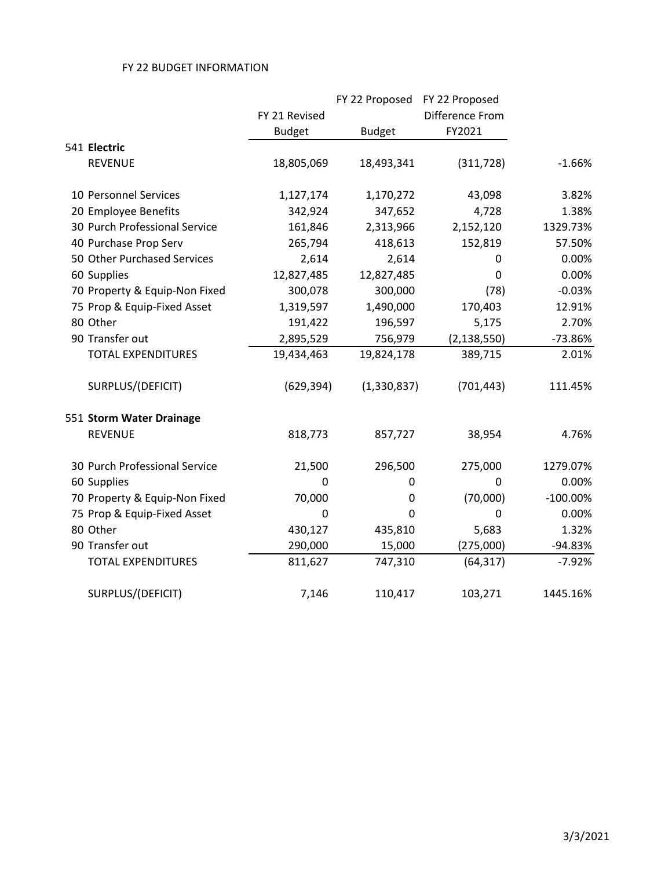|                               |               | FY 22 Proposed FY 22 Proposed |                 |             |
|-------------------------------|---------------|-------------------------------|-----------------|-------------|
|                               | FY 21 Revised |                               | Difference From |             |
|                               | <b>Budget</b> | <b>Budget</b>                 | FY2021          |             |
| 541 Electric                  |               |                               |                 |             |
| <b>REVENUE</b>                | 18,805,069    | 18,493,341                    | (311, 728)      | $-1.66%$    |
| 10 Personnel Services         | 1,127,174     | 1,170,272                     | 43,098          | 3.82%       |
| 20 Employee Benefits          | 342,924       | 347,652                       | 4,728           | 1.38%       |
| 30 Purch Professional Service | 161,846       | 2,313,966                     | 2,152,120       | 1329.73%    |
| 40 Purchase Prop Serv         | 265,794       | 418,613                       | 152,819         | 57.50%      |
| 50 Other Purchased Services   | 2,614         | 2,614                         | 0               | 0.00%       |
| 60 Supplies                   | 12,827,485    | 12,827,485                    | 0               | 0.00%       |
| 70 Property & Equip-Non Fixed | 300,078       | 300,000                       | (78)            | $-0.03%$    |
| 75 Prop & Equip-Fixed Asset   | 1,319,597     | 1,490,000                     | 170,403         | 12.91%      |
| 80 Other                      | 191,422       | 196,597                       | 5,175           | 2.70%       |
| 90 Transfer out               | 2,895,529     | 756,979                       | (2, 138, 550)   | $-73.86%$   |
| <b>TOTAL EXPENDITURES</b>     | 19,434,463    | 19,824,178                    | 389,715         | 2.01%       |
| SURPLUS/(DEFICIT)             | (629, 394)    | (1,330,837)                   | (701, 443)      | 111.45%     |
| 551 Storm Water Drainage      |               |                               |                 |             |
| <b>REVENUE</b>                | 818,773       | 857,727                       | 38,954          | 4.76%       |
| 30 Purch Professional Service | 21,500        | 296,500                       | 275,000         | 1279.07%    |
| 60 Supplies                   | $\Omega$      | 0                             | $\Omega$        | 0.00%       |
| 70 Property & Equip-Non Fixed | 70,000        | 0                             | (70,000)        | $-100.00\%$ |
| 75 Prop & Equip-Fixed Asset   | $\mathbf 0$   | 0                             | $\mathbf 0$     | 0.00%       |
| 80 Other                      | 430,127       | 435,810                       | 5,683           | 1.32%       |
| 90 Transfer out               | 290,000       | 15,000                        | (275,000)       | -94.83%     |
| <b>TOTAL EXPENDITURES</b>     | 811,627       | 747,310                       | (64, 317)       | $-7.92%$    |
| SURPLUS/(DEFICIT)             | 7,146         | 110,417                       | 103,271         | 1445.16%    |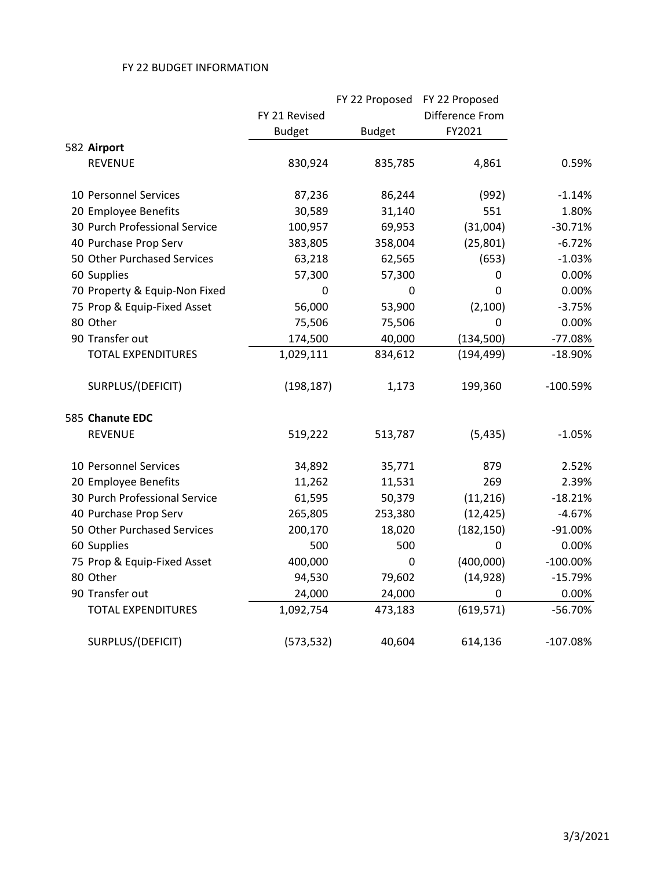|                               |               |               | FY 22 Proposed FY 22 Proposed |             |
|-------------------------------|---------------|---------------|-------------------------------|-------------|
|                               | FY 21 Revised |               | Difference From               |             |
|                               | <b>Budget</b> | <b>Budget</b> | FY2021                        |             |
| 582 Airport                   |               |               |                               |             |
| <b>REVENUE</b>                | 830,924       | 835,785       | 4,861                         | 0.59%       |
| 10 Personnel Services         | 87,236        | 86,244        | (992)                         | $-1.14%$    |
| 20 Employee Benefits          | 30,589        | 31,140        | 551                           | 1.80%       |
| 30 Purch Professional Service | 100,957       | 69,953        | (31,004)                      | $-30.71%$   |
| 40 Purchase Prop Serv         | 383,805       | 358,004       | (25, 801)                     | $-6.72%$    |
| 50 Other Purchased Services   | 63,218        | 62,565        | (653)                         | $-1.03%$    |
| 60 Supplies                   | 57,300        | 57,300        | 0                             | 0.00%       |
| 70 Property & Equip-Non Fixed | 0             | 0             | 0                             | 0.00%       |
| 75 Prop & Equip-Fixed Asset   | 56,000        | 53,900        | (2,100)                       | $-3.75%$    |
| 80 Other                      | 75,506        | 75,506        | $\overline{0}$                | 0.00%       |
| 90 Transfer out               | 174,500       | 40,000        | (134, 500)                    | $-77.08%$   |
| <b>TOTAL EXPENDITURES</b>     | 1,029,111     | 834,612       | (194, 499)                    | $-18.90%$   |
| SURPLUS/(DEFICIT)             | (198, 187)    | 1,173         | 199,360                       | $-100.59%$  |
| 585 Chanute EDC               |               |               |                               |             |
| <b>REVENUE</b>                | 519,222       | 513,787       | (5, 435)                      | $-1.05%$    |
| 10 Personnel Services         | 34,892        | 35,771        | 879                           | 2.52%       |
| 20 Employee Benefits          | 11,262        | 11,531        | 269                           | 2.39%       |
| 30 Purch Professional Service | 61,595        | 50,379        | (11, 216)                     | $-18.21%$   |
| 40 Purchase Prop Serv         | 265,805       | 253,380       | (12, 425)                     | $-4.67%$    |
| 50 Other Purchased Services   | 200,170       | 18,020        | (182, 150)                    | $-91.00%$   |
| 60 Supplies                   | 500           | 500           | 0                             | 0.00%       |
| 75 Prop & Equip-Fixed Asset   | 400,000       | 0             | (400,000)                     | $-100.00\%$ |
| 80 Other                      | 94,530        | 79,602        | (14, 928)                     | $-15.79%$   |
| 90 Transfer out               | 24,000        | 24,000        | 0                             | 0.00%       |
| <b>TOTAL EXPENDITURES</b>     | 1,092,754     | 473,183       | (619, 571)                    | $-56.70%$   |
| SURPLUS/(DEFICIT)             | (573, 532)    | 40,604        | 614,136                       | $-107.08%$  |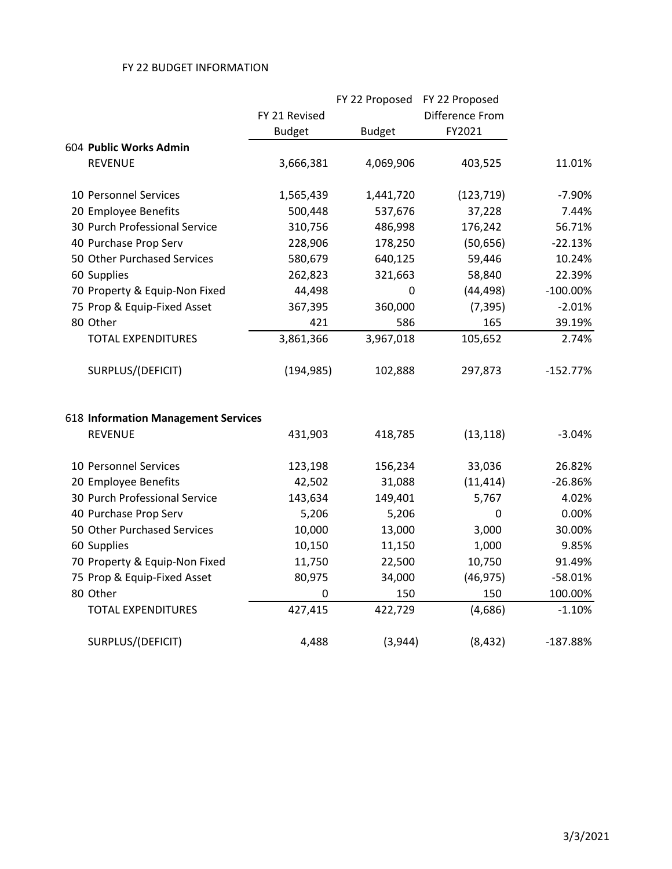|                                     |               | FY 22 Proposed FY 22 Proposed |                 |             |
|-------------------------------------|---------------|-------------------------------|-----------------|-------------|
|                                     | FY 21 Revised |                               | Difference From |             |
|                                     | <b>Budget</b> | <b>Budget</b>                 | FY2021          |             |
| 604 Public Works Admin              |               |                               |                 |             |
| <b>REVENUE</b>                      | 3,666,381     | 4,069,906                     | 403,525         | 11.01%      |
| 10 Personnel Services               | 1,565,439     | 1,441,720                     | (123, 719)      | $-7.90%$    |
| 20 Employee Benefits                | 500,448       | 537,676                       | 37,228          | 7.44%       |
| 30 Purch Professional Service       | 310,756       | 486,998                       | 176,242         | 56.71%      |
| 40 Purchase Prop Serv               | 228,906       | 178,250                       | (50, 656)       | $-22.13%$   |
| 50 Other Purchased Services         | 580,679       | 640,125                       | 59,446          | 10.24%      |
| 60 Supplies                         | 262,823       | 321,663                       | 58,840          | 22.39%      |
| 70 Property & Equip-Non Fixed       | 44,498        | 0                             | (44, 498)       | $-100.00\%$ |
| 75 Prop & Equip-Fixed Asset         | 367,395       | 360,000                       | (7, 395)        | $-2.01%$    |
| 80 Other                            | 421           | 586                           | 165             | 39.19%      |
| <b>TOTAL EXPENDITURES</b>           | 3,861,366     | 3,967,018                     | 105,652         | 2.74%       |
| SURPLUS/(DEFICIT)                   | (194, 985)    | 102,888                       | 297,873         | $-152.77%$  |
| 618 Information Management Services |               |                               |                 |             |
| <b>REVENUE</b>                      | 431,903       | 418,785                       | (13, 118)       | $-3.04%$    |
| 10 Personnel Services               | 123,198       | 156,234                       | 33,036          | 26.82%      |
| 20 Employee Benefits                | 42,502        | 31,088                        | (11, 414)       | $-26.86%$   |
| 30 Purch Professional Service       | 143,634       | 149,401                       | 5,767           | 4.02%       |
| 40 Purchase Prop Serv               | 5,206         | 5,206                         | 0               | 0.00%       |
| 50 Other Purchased Services         | 10,000        | 13,000                        | 3,000           | 30.00%      |
| 60 Supplies                         | 10,150        | 11,150                        | 1,000           | 9.85%       |
| 70 Property & Equip-Non Fixed       | 11,750        | 22,500                        | 10,750          | 91.49%      |
| 75 Prop & Equip-Fixed Asset         | 80,975        | 34,000                        | (46, 975)       | $-58.01%$   |
| 80 Other                            | 0             | 150                           | 150             | 100.00%     |
| <b>TOTAL EXPENDITURES</b>           | 427,415       | 422,729                       | (4,686)         | $-1.10%$    |
| SURPLUS/(DEFICIT)                   | 4,488         | (3,944)                       | (8, 432)        | $-187.88%$  |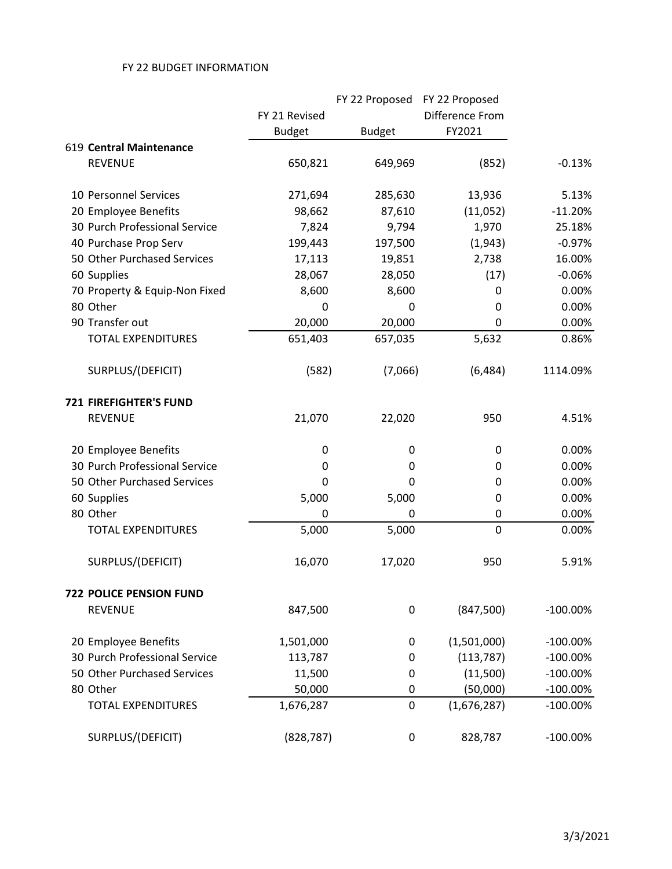|                                |               |               | FY 22 Proposed FY 22 Proposed |             |
|--------------------------------|---------------|---------------|-------------------------------|-------------|
|                                | FY 21 Revised |               | Difference From               |             |
|                                | <b>Budget</b> | <b>Budget</b> | FY2021                        |             |
| 619 Central Maintenance        |               |               |                               |             |
| <b>REVENUE</b>                 | 650,821       | 649,969       | (852)                         | $-0.13%$    |
| 10 Personnel Services          | 271,694       | 285,630       | 13,936                        | 5.13%       |
| 20 Employee Benefits           | 98,662        | 87,610        | (11,052)                      | $-11.20%$   |
| 30 Purch Professional Service  | 7,824         | 9,794         | 1,970                         | 25.18%      |
| 40 Purchase Prop Serv          | 199,443       | 197,500       | (1,943)                       | $-0.97%$    |
| 50 Other Purchased Services    | 17,113        | 19,851        | 2,738                         | 16.00%      |
| 60 Supplies                    | 28,067        | 28,050        | (17)                          | $-0.06%$    |
| 70 Property & Equip-Non Fixed  | 8,600         | 8,600         | 0                             | 0.00%       |
| 80 Other                       | 0             | 0             | 0                             | 0.00%       |
| 90 Transfer out                | 20,000        | 20,000        | 0                             | 0.00%       |
| <b>TOTAL EXPENDITURES</b>      | 651,403       | 657,035       | 5,632                         | 0.86%       |
| SURPLUS/(DEFICIT)              | (582)         | (7,066)       | (6, 484)                      | 1114.09%    |
| <b>721 FIREFIGHTER'S FUND</b>  |               |               |                               |             |
| <b>REVENUE</b>                 | 21,070        | 22,020        | 950                           | 4.51%       |
| 20 Employee Benefits           | 0             | 0             | 0                             | 0.00%       |
| 30 Purch Professional Service  | 0             | 0             | 0                             | 0.00%       |
| 50 Other Purchased Services    | 0             | 0             | 0                             | 0.00%       |
| 60 Supplies                    | 5,000         | 5,000         | 0                             | 0.00%       |
| 80 Other                       | 0             | 0             | 0                             | 0.00%       |
| <b>TOTAL EXPENDITURES</b>      | 5,000         | 5,000         | $\mathbf 0$                   | 0.00%       |
| SURPLUS/(DEFICIT)              | 16,070        | 17,020        | 950                           | 5.91%       |
| <b>722 POLICE PENSION FUND</b> |               |               |                               |             |
| <b>REVENUE</b>                 | 847,500       | 0             | (847,500)                     | $-100.00\%$ |
| 20 Employee Benefits           | 1,501,000     | 0             | (1,501,000)                   | $-100.00\%$ |
| 30 Purch Professional Service  | 113,787       | 0             | (113, 787)                    | $-100.00\%$ |
| 50 Other Purchased Services    | 11,500        | 0             | (11,500)                      | $-100.00\%$ |
| 80 Other                       | 50,000        | 0             | (50,000)                      | $-100.00\%$ |
| <b>TOTAL EXPENDITURES</b>      | 1,676,287     | 0             | (1,676,287)                   | $-100.00\%$ |
| SURPLUS/(DEFICIT)              | (828, 787)    | 0             | 828,787                       | $-100.00\%$ |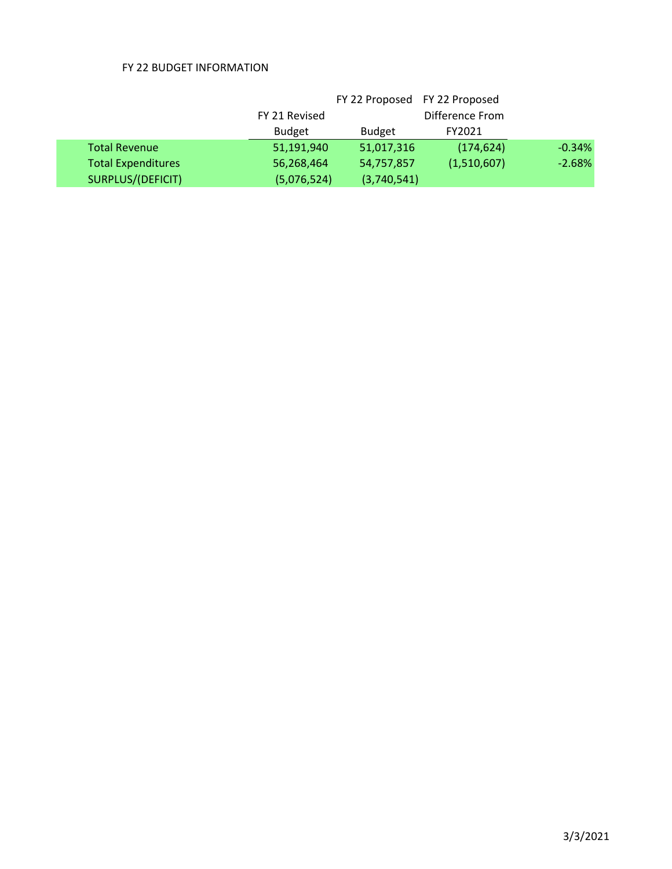|                           |               | FY 22 Proposed FY 22 Proposed |                 |          |
|---------------------------|---------------|-------------------------------|-----------------|----------|
|                           | FY 21 Revised |                               | Difference From |          |
|                           | <b>Budget</b> | <b>Budget</b>                 | FY2021          |          |
| <b>Total Revenue</b>      | 51,191,940    | 51,017,316                    | (174, 624)      | $-0.34%$ |
| <b>Total Expenditures</b> | 56,268,464    | 54,757,857                    | (1,510,607)     | $-2.68%$ |
| SURPLUS/(DEFICIT)         | (5,076,524)   | (3,740,541)                   |                 |          |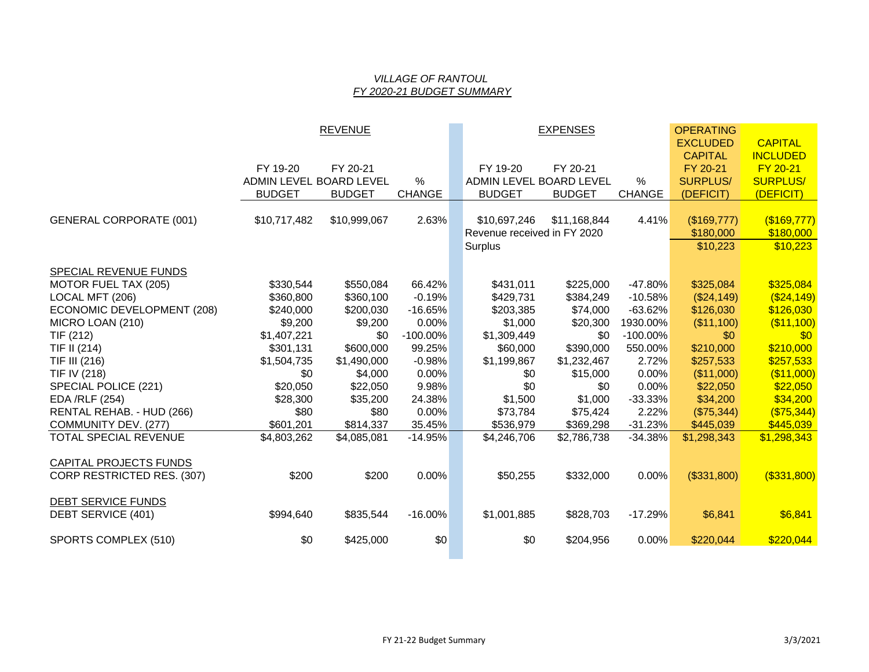#### *VILLAGE OF RANTOUL FY 2020-21 BUDGET SUMMARY*

|                                |                         | <b>REVENUE</b> |               |                             | <b>EXPENSES</b> |               | <b>OPERATING</b> |                 |
|--------------------------------|-------------------------|----------------|---------------|-----------------------------|-----------------|---------------|------------------|-----------------|
|                                |                         |                |               |                             |                 |               | <b>EXCLUDED</b>  | <b>CAPITAL</b>  |
|                                |                         |                |               |                             |                 |               | <b>CAPITAL</b>   | <b>INCLUDED</b> |
|                                | FY 19-20                | FY 20-21       |               | FY 19-20                    | FY 20-21        |               | FY 20-21         | FY 20-21        |
|                                | ADMIN LEVEL BOARD LEVEL |                | $\%$          | ADMIN LEVEL BOARD LEVEL     |                 | $\%$          | <b>SURPLUS/</b>  | <b>SURPLUS/</b> |
|                                | <b>BUDGET</b>           | <b>BUDGET</b>  | <b>CHANGE</b> | <b>BUDGET</b>               | <b>BUDGET</b>   | <b>CHANGE</b> | (DEFICIT)        | (DEFICIT)       |
|                                |                         |                |               |                             |                 |               |                  |                 |
| <b>GENERAL CORPORATE (001)</b> | \$10,717,482            | \$10,999,067   | 2.63%         | \$10,697,246                | \$11,168,844    | 4.41%         | (\$169,777)      | $($ \$169,777)  |
|                                |                         |                |               | Revenue received in FY 2020 |                 |               | \$180,000        | \$180,000       |
|                                |                         |                |               | Surplus                     |                 |               | \$10,223         | \$10,223        |
| SPECIAL REVENUE FUNDS          |                         |                |               |                             |                 |               |                  |                 |
| MOTOR FUEL TAX (205)           | \$330,544               | \$550,084      | 66.42%        | \$431,011                   | \$225,000       | -47.80%       | \$325,084        | \$325,084       |
| LOCAL MFT (206)                | \$360,800               | \$360,100      | $-0.19%$      | \$429,731                   | \$384,249       | $-10.58%$     | (\$24,149)       | ( \$24, 149)    |
| ECONOMIC DEVELOPMENT (208)     | \$240,000               | \$200,030      | $-16.65%$     | \$203,385                   | \$74,000        | $-63.62%$     | \$126,030        | \$126,030       |
| MICRO LOAN (210)               | \$9,200                 | \$9,200        | 0.00%         | \$1,000                     | \$20,300        | 1930.00%      | (\$11,100)       | ( \$11,100)     |
| TIF (212)                      | \$1,407,221             | \$0            | $-100.00\%$   | \$1,309,449                 | \$0             | $-100.00\%$   | \$0              | \$0             |
| TIF II (214)                   | \$301,131               | \$600,000      | 99.25%        | \$60,000                    | \$390,000       | 550.00%       | \$210,000        | \$210,000       |
| TIF III (216)                  | \$1,504,735             | \$1,490,000    | $-0.98%$      | \$1,199,867                 | \$1,232,467     | 2.72%         | \$257,533        | \$257,533       |
| TIF IV (218)                   | \$0                     | \$4,000        | 0.00%         | \$0                         | \$15,000        | 0.00%         | (\$11,000)       | (\$11,000)      |
| SPECIAL POLICE (221)           | \$20,050                | \$22,050       | 9.98%         | \$0                         | \$0             | 0.00%         | \$22,050         | \$22,050        |
| EDA /RLF (254)                 | \$28,300                | \$35,200       | 24.38%        | \$1,500                     | \$1,000         | $-33.33%$     | \$34,200         | \$34,200        |
| RENTAL REHAB. - HUD (266)      | \$80                    | \$80           | 0.00%         | \$73,784                    | \$75,424        | 2.22%         | (\$75,344)       | (\$75,344)      |
| COMMUNITY DEV. (277)           | \$601,201               | \$814,337      | 35.45%        | \$536,979                   | \$369,298       | $-31.23%$     | \$445,039        | \$445,039       |
| <b>TOTAL SPECIAL REVENUE</b>   | \$4,803,262             | \$4,085,081    | $-14.95%$     | \$4,246,706                 | \$2,786,738     | $-34.38%$     | \$1,298,343      | \$1,298,343     |
| <b>CAPITAL PROJECTS FUNDS</b>  |                         |                |               |                             |                 |               |                  |                 |
| CORP RESTRICTED RES. (307)     | \$200                   | \$200          | 0.00%         | \$50,255                    | \$332,000       | 0.00%         | (\$331,800)      | $($ \$331,800)  |
|                                |                         |                |               |                             |                 |               |                  |                 |
| <b>DEBT SERVICE FUNDS</b>      |                         |                |               |                             |                 |               |                  |                 |
| DEBT SERVICE (401)             | \$994,640               | \$835,544      | $-16.00%$     | \$1,001,885                 | \$828,703       | $-17.29%$     | \$6,841          | \$6,841         |
| SPORTS COMPLEX (510)           | \$0                     | \$425,000      | \$0           | \$0                         | \$204,956       | 0.00%         | \$220,044        | \$220,044       |
|                                |                         |                |               |                             |                 |               |                  |                 |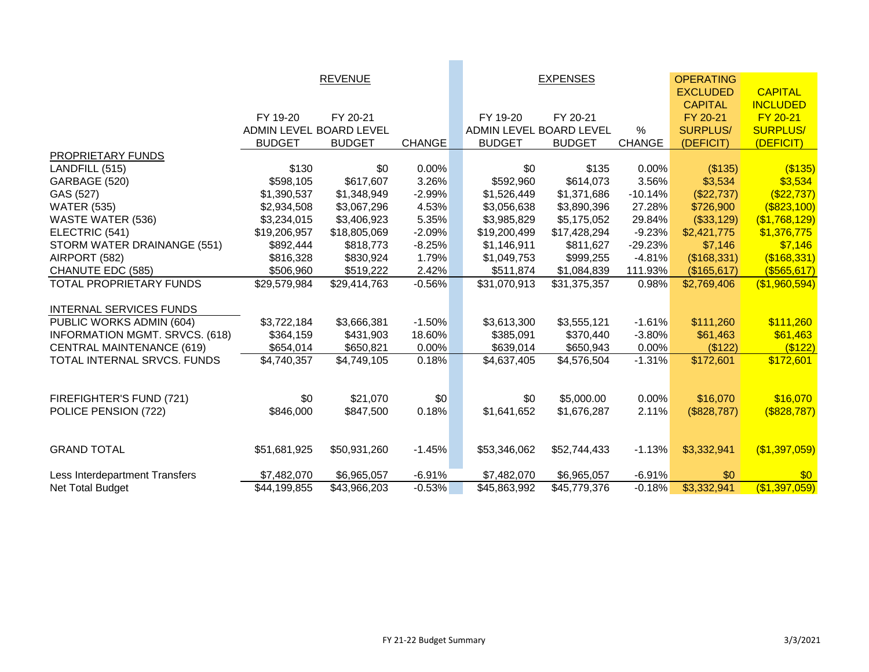|                                       |                         | <b>REVENUE</b> |               |                         | <b>EXPENSES</b> |               | <b>OPERATING</b> |                   |
|---------------------------------------|-------------------------|----------------|---------------|-------------------------|-----------------|---------------|------------------|-------------------|
|                                       |                         |                |               |                         |                 |               | <b>EXCLUDED</b>  | <b>CAPITAL</b>    |
|                                       |                         |                |               |                         |                 |               | <b>CAPITAL</b>   | <b>INCLUDED</b>   |
|                                       | FY 19-20                | FY 20-21       |               | FY 19-20                | FY 20-21        |               | FY 20-21         | FY 20-21          |
|                                       | ADMIN LEVEL BOARD LEVEL |                |               | ADMIN LEVEL BOARD LEVEL |                 | $\%$          | <b>SURPLUS/</b>  | <b>SURPLUS/</b>   |
|                                       | <b>BUDGET</b>           | <b>BUDGET</b>  | <b>CHANGE</b> | <b>BUDGET</b>           | <b>BUDGET</b>   | <b>CHANGE</b> | (DEFICIT)        | (DEFICIT)         |
| PROPRIETARY FUNDS                     |                         |                |               |                         |                 |               |                  |                   |
| LANDFILL (515)                        | \$130                   | \$0            | 0.00%         | \$0                     | \$135           | 0.00%         | (\$135)          | $($ \$135)        |
| GARBAGE (520)                         | \$598,105               | \$617,607      | 3.26%         | \$592,960               | \$614,073       | 3.56%         | \$3,534          | \$3,534           |
| GAS (527)                             | \$1,390,537             | \$1,348,949    | $-2.99%$      | \$1,526,449             | \$1,371,686     | $-10.14%$     | (\$22,737)       | ( \$22, 737)      |
| <b>WATER (535)</b>                    | \$2,934,508             | \$3,067,296    | 4.53%         | \$3,056,638             | \$3,890,396     | 27.28%        | \$726,900        | $($ \$823,100)    |
| <b>WASTE WATER (536)</b>              | \$3,234,015             | \$3,406,923    | 5.35%         | \$3,985,829             | \$5,175,052     | 29.84%        | (\$33,129)       | (\$1,768,129)     |
| ELECTRIC (541)                        | \$19,206,957            | \$18,805,069   | $-2.09%$      | \$19,200,499            | \$17,428,294    | $-9.23%$      | \$2,421,775      | \$1,376,775       |
| STORM WATER DRAINANGE (551)           | \$892,444               | \$818,773      | $-8.25%$      | \$1,146,911             | \$811,627       | $-29.23%$     | \$7,146          | \$7,146           |
| AIRPORT (582)                         | \$816,328               | \$830,924      | 1.79%         | \$1,049,753             | \$999,255       | $-4.81%$      | (\$168,331)      | (\$168,331)       |
| CHANUTE EDC (585)                     | \$506,960               | \$519,222      | 2.42%         | \$511,874               | \$1,084,839     | 111.93%       | (\$165,617)      | $($ \$565,617)    |
| TOTAL PROPRIETARY FUNDS               | \$29,579,984            | \$29,414,763   | $-0.56%$      | \$31,070,913            | \$31,375,357    | 0.98%         | \$2,769,406      | (\$1,960,594)     |
|                                       |                         |                |               |                         |                 |               |                  |                   |
| <b>INTERNAL SERVICES FUNDS</b>        |                         |                |               |                         |                 |               |                  |                   |
| PUBLIC WORKS ADMIN (604)              | \$3,722,184             | \$3,666,381    | $-1.50%$      | \$3,613,300             | \$3,555,121     | $-1.61%$      | \$111,260        | \$111,260         |
| <b>INFORMATION MGMT. SRVCS. (618)</b> | \$364,159               | \$431,903      | 18.60%        | \$385,091               | \$370,440       | $-3.80%$      | \$61,463         | \$61,463          |
| <b>CENTRAL MAINTENANCE (619)</b>      | \$654,014               | \$650,821      | 0.00%         | \$639,014               | \$650,943       | 0.00%         | (\$122)          | ( \$122)          |
| TOTAL INTERNAL SRVCS. FUNDS           | \$4,740,357             | \$4,749,105    | 0.18%         | \$4,637,405             | \$4,576,504     | $-1.31%$      | \$172,601        | \$172,601         |
|                                       |                         |                |               |                         |                 |               |                  |                   |
|                                       |                         |                |               |                         |                 |               |                  |                   |
| FIREFIGHTER'S FUND (721)              | \$0                     | \$21,070       | \$0           | \$0                     | \$5,000.00      | 0.00%         | \$16,070         | \$16,070          |
| POLICE PENSION (722)                  | \$846,000               | \$847,500      | 0.18%         | \$1,641,652             | \$1,676,287     | 2.11%         | (\$828,787)      | $($ \$828,787 $)$ |
|                                       |                         |                |               |                         |                 |               |                  |                   |
|                                       |                         |                |               |                         |                 |               |                  |                   |
| <b>GRAND TOTAL</b>                    | \$51,681,925            | \$50,931,260   | $-1.45%$      | \$53,346,062            | \$52,744,433    | $-1.13%$      | \$3,332,941      | (\$1,397,059)     |
| Less Interdepartment Transfers        | \$7,482,070             | \$6,965,057    | $-6.91%$      | \$7,482,070             | \$6,965,057     | $-6.91%$      | \$0              | \$0               |
| Net Total Budget                      | \$44,199,855            | \$43,966,203   | $-0.53%$      | \$45,863,992            | \$45,779,376    | $-0.18%$      | \$3,332,941      | (\$1,397,059)     |
|                                       |                         |                |               |                         |                 |               |                  |                   |